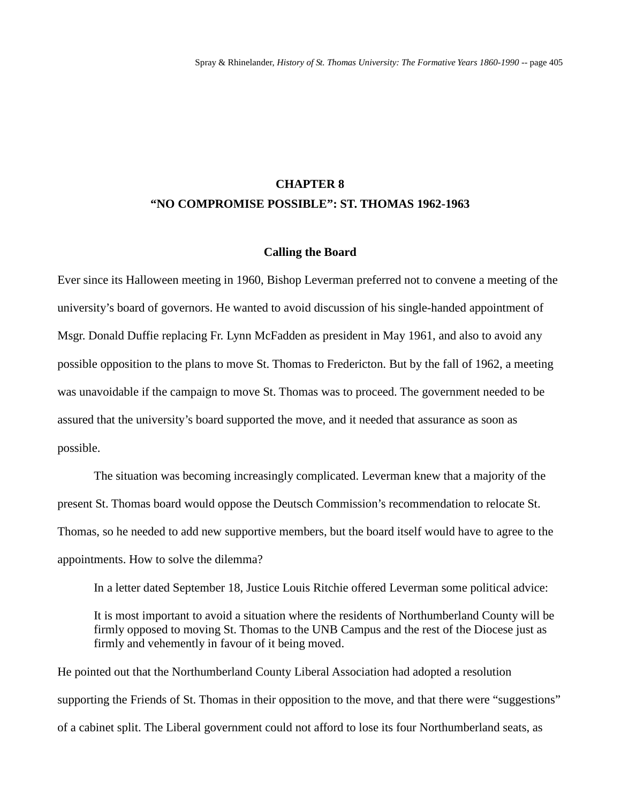# **CHAPTER 8 "NO COMPROMISE POSSIBLE": ST. THOMAS 1962-1963**

### **Calling the Board**

Ever since its Halloween meeting in 1960, Bishop Leverman preferred not to convene a meeting of the university's board of governors. He wanted to avoid discussion of his single-handed appointment of Msgr. Donald Duffie replacing Fr. Lynn McFadden as president in May 1961, and also to avoid any possible opposition to the plans to move St. Thomas to Fredericton. But by the fall of 1962, a meeting was unavoidable if the campaign to move St. Thomas was to proceed. The government needed to be assured that the university's board supported the move, and it needed that assurance as soon as possible.

The situation was becoming increasingly complicated. Leverman knew that a majority of the present St. Thomas board would oppose the Deutsch Commission's recommendation to relocate St. Thomas, so he needed to add new supportive members, but the board itself would have to agree to the appointments. How to solve the dilemma?

In a letter dated September 18, Justice Louis Ritchie offered Leverman some political advice:

It is most important to avoid a situation where the residents of Northumberland County will be firmly opposed to moving St. Thomas to the UNB Campus and the rest of the Diocese just as firmly and vehemently in favour of it being moved.

He pointed out that the Northumberland County Liberal Association had adopted a resolution supporting the Friends of St. Thomas in their opposition to the move, and that there were "suggestions" of a cabinet split. The Liberal government could not afford to lose its four Northumberland seats, as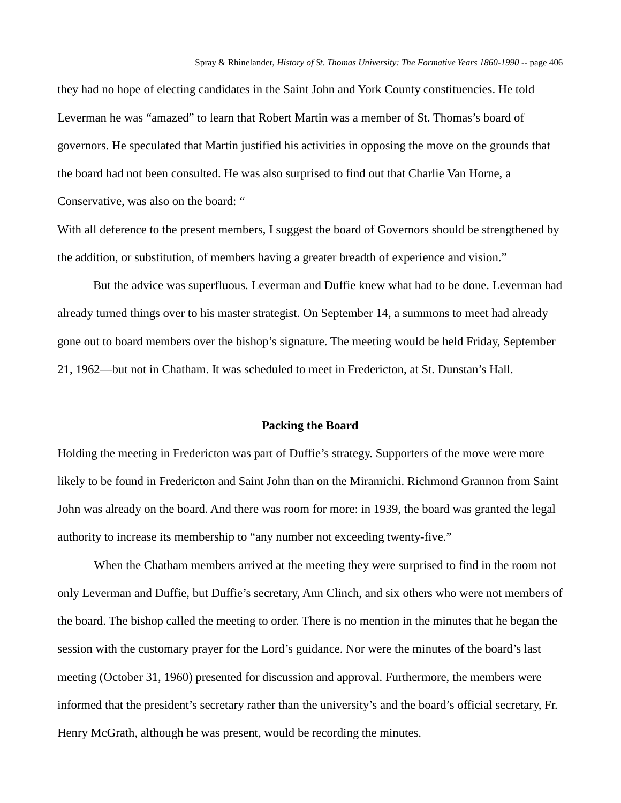they had no hope of electing candidates in the Saint John and York County constituencies. He told Leverman he was "amazed" to learn that Robert Martin was a member of St. Thomas's board of governors. He speculated that Martin justified his activities in opposing the move on the grounds that the board had not been consulted. He was also surprised to find out that Charlie Van Horne, a Conservative, was also on the board: "

With all deference to the present members, I suggest the board of Governors should be strengthened by the addition, or substitution, of members having a greater breadth of experience and vision."

But the advice was superfluous. Leverman and Duffie knew what had to be done. Leverman had already turned things over to his master strategist. On September 14, a summons to meet had already gone out to board members over the bishop's signature. The meeting would be held Friday, September 21, 1962—but not in Chatham. It was scheduled to meet in Fredericton, at St. Dunstan's Hall.

#### **Packing the Board**

Holding the meeting in Fredericton was part of Duffie's strategy. Supporters of the move were more likely to be found in Fredericton and Saint John than on the Miramichi. Richmond Grannon from Saint John was already on the board. And there was room for more: in 1939, the board was granted the legal authority to increase its membership to "any number not exceeding twenty-five."

When the Chatham members arrived at the meeting they were surprised to find in the room not only Leverman and Duffie, but Duffie's secretary, Ann Clinch, and six others who were not members of the board. The bishop called the meeting to order. There is no mention in the minutes that he began the session with the customary prayer for the Lord's guidance. Nor were the minutes of the board's last meeting (October 31, 1960) presented for discussion and approval. Furthermore, the members were informed that the president's secretary rather than the university's and the board's official secretary, Fr. Henry McGrath, although he was present, would be recording the minutes.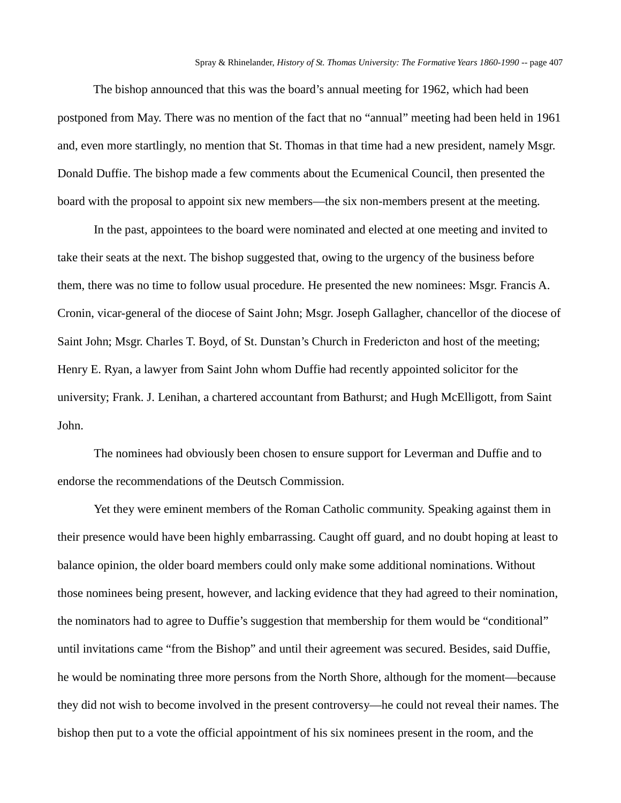The bishop announced that this was the board's annual meeting for 1962, which had been postponed from May. There was no mention of the fact that no "annual" meeting had been held in 1961 and, even more startlingly, no mention that St. Thomas in that time had a new president, namely Msgr. Donald Duffie. The bishop made a few comments about the Ecumenical Council, then presented the board with the proposal to appoint six new members—the six non-members present at the meeting.

In the past, appointees to the board were nominated and elected at one meeting and invited to take their seats at the next. The bishop suggested that, owing to the urgency of the business before them, there was no time to follow usual procedure. He presented the new nominees: Msgr. Francis A. Cronin, vicar-general of the diocese of Saint John; Msgr. Joseph Gallagher, chancellor of the diocese of Saint John; Msgr. Charles T. Boyd, of St. Dunstan's Church in Fredericton and host of the meeting; Henry E. Ryan, a lawyer from Saint John whom Duffie had recently appointed solicitor for the university; Frank. J. Lenihan, a chartered accountant from Bathurst; and Hugh McElligott, from Saint John.

The nominees had obviously been chosen to ensure support for Leverman and Duffie and to endorse the recommendations of the Deutsch Commission.

Yet they were eminent members of the Roman Catholic community. Speaking against them in their presence would have been highly embarrassing. Caught off guard, and no doubt hoping at least to balance opinion, the older board members could only make some additional nominations. Without those nominees being present, however, and lacking evidence that they had agreed to their nomination, the nominators had to agree to Duffie's suggestion that membership for them would be "conditional" until invitations came "from the Bishop" and until their agreement was secured. Besides, said Duffie, he would be nominating three more persons from the North Shore, although for the moment—because they did not wish to become involved in the present controversy—he could not reveal their names. The bishop then put to a vote the official appointment of his six nominees present in the room, and the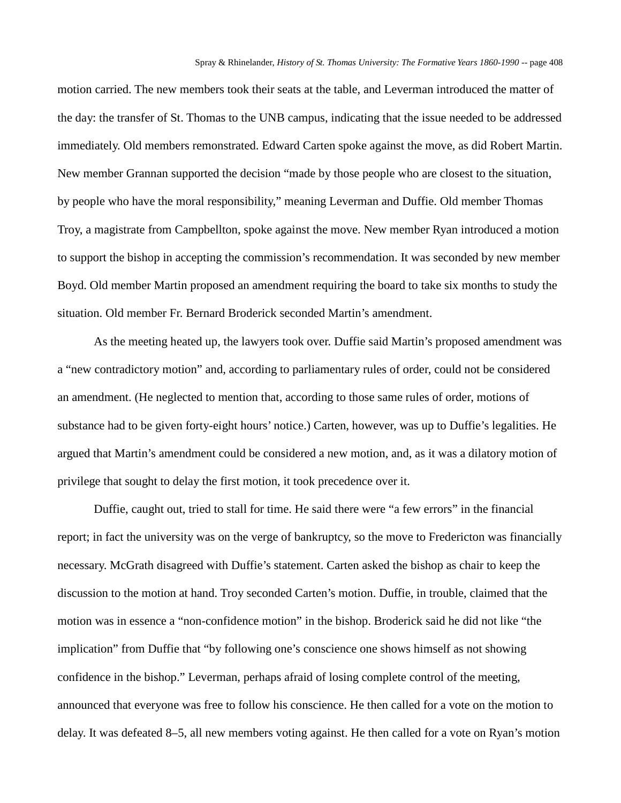motion carried. The new members took their seats at the table, and Leverman introduced the matter of the day: the transfer of St. Thomas to the UNB campus, indicating that the issue needed to be addressed immediately. Old members remonstrated. Edward Carten spoke against the move, as did Robert Martin. New member Grannan supported the decision "made by those people who are closest to the situation, by people who have the moral responsibility," meaning Leverman and Duffie. Old member Thomas Troy, a magistrate from Campbellton, spoke against the move. New member Ryan introduced a motion to support the bishop in accepting the commission's recommendation. It was seconded by new member Boyd. Old member Martin proposed an amendment requiring the board to take six months to study the situation. Old member Fr. Bernard Broderick seconded Martin's amendment.

As the meeting heated up, the lawyers took over. Duffie said Martin's proposed amendment was a "new contradictory motion" and, according to parliamentary rules of order, could not be considered an amendment. (He neglected to mention that, according to those same rules of order, motions of substance had to be given forty-eight hours' notice.) Carten, however, was up to Duffie's legalities. He argued that Martin's amendment could be considered a new motion, and, as it was a dilatory motion of privilege that sought to delay the first motion, it took precedence over it.

Duffie, caught out, tried to stall for time. He said there were "a few errors" in the financial report; in fact the university was on the verge of bankruptcy, so the move to Fredericton was financially necessary. McGrath disagreed with Duffie's statement. Carten asked the bishop as chair to keep the discussion to the motion at hand. Troy seconded Carten's motion. Duffie, in trouble, claimed that the motion was in essence a "non-confidence motion" in the bishop. Broderick said he did not like "the implication" from Duffie that "by following one's conscience one shows himself as not showing confidence in the bishop." Leverman, perhaps afraid of losing complete control of the meeting, announced that everyone was free to follow his conscience. He then called for a vote on the motion to delay. It was defeated 8–5, all new members voting against. He then called for a vote on Ryan's motion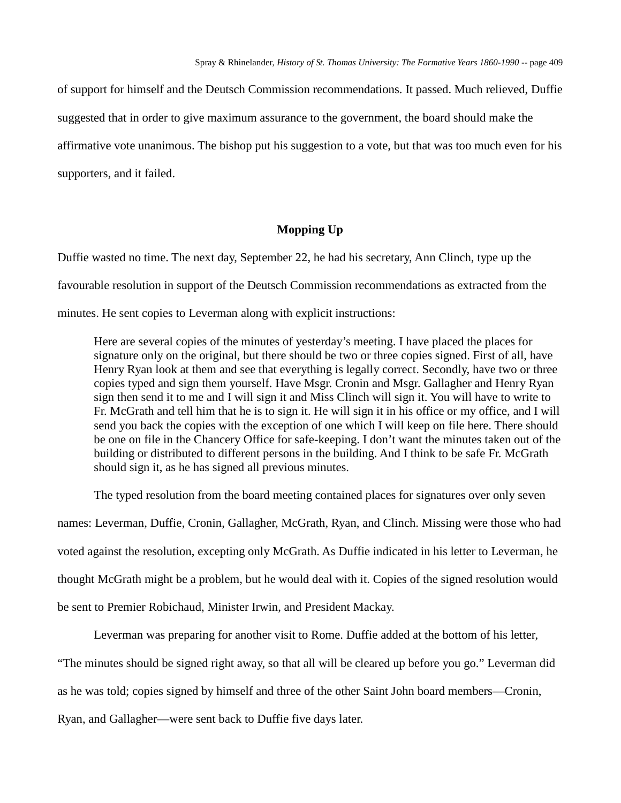of support for himself and the Deutsch Commission recommendations. It passed. Much relieved, Duffie suggested that in order to give maximum assurance to the government, the board should make the affirmative vote unanimous. The bishop put his suggestion to a vote, but that was too much even for his supporters, and it failed.

# **Mopping Up**

Duffie wasted no time. The next day, September 22, he had his secretary, Ann Clinch, type up the favourable resolution in support of the Deutsch Commission recommendations as extracted from the minutes. He sent copies to Leverman along with explicit instructions:

Here are several copies of the minutes of yesterday's meeting. I have placed the places for signature only on the original, but there should be two or three copies signed. First of all, have Henry Ryan look at them and see that everything is legally correct. Secondly, have two or three copies typed and sign them yourself. Have Msgr. Cronin and Msgr. Gallagher and Henry Ryan sign then send it to me and I will sign it and Miss Clinch will sign it. You will have to write to Fr. McGrath and tell him that he is to sign it. He will sign it in his office or my office, and I will send you back the copies with the exception of one which I will keep on file here. There should be one on file in the Chancery Office for safe-keeping. I don't want the minutes taken out of the building or distributed to different persons in the building. And I think to be safe Fr. McGrath should sign it, as he has signed all previous minutes.

The typed resolution from the board meeting contained places for signatures over only seven names: Leverman, Duffie, Cronin, Gallagher, McGrath, Ryan, and Clinch. Missing were those who had voted against the resolution, excepting only McGrath. As Duffie indicated in his letter to Leverman, he thought McGrath might be a problem, but he would deal with it. Copies of the signed resolution would be sent to Premier Robichaud, Minister Irwin, and President Mackay.

Leverman was preparing for another visit to Rome. Duffie added at the bottom of his letter,

"The minutes should be signed right away, so that all will be cleared up before you go." Leverman did

as he was told; copies signed by himself and three of the other Saint John board members—Cronin,

Ryan, and Gallagher—were sent back to Duffie five days later.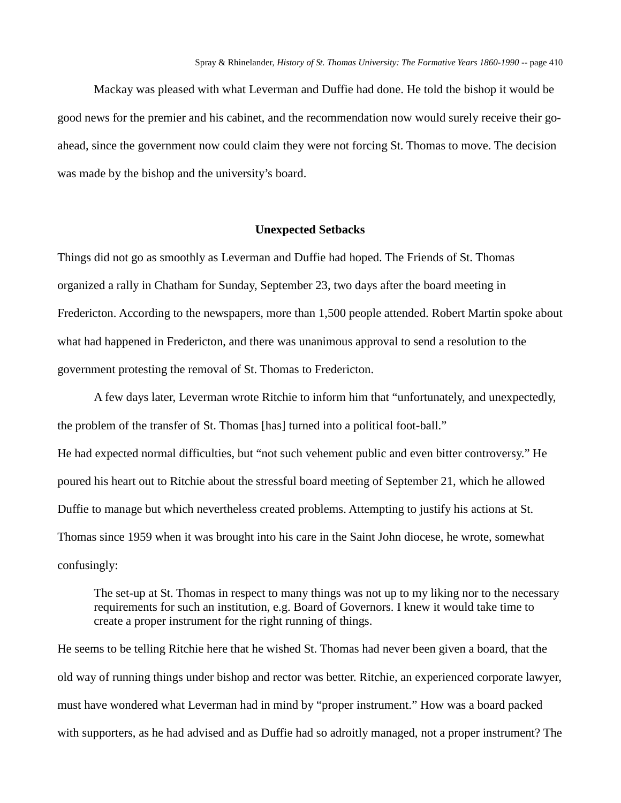Mackay was pleased with what Leverman and Duffie had done. He told the bishop it would be good news for the premier and his cabinet, and the recommendation now would surely receive their goahead, since the government now could claim they were not forcing St. Thomas to move. The decision was made by the bishop and the university's board.

## **Unexpected Setbacks**

Things did not go as smoothly as Leverman and Duffie had hoped. The Friends of St. Thomas organized a rally in Chatham for Sunday, September 23, two days after the board meeting in Fredericton. According to the newspapers, more than 1,500 people attended. Robert Martin spoke about what had happened in Fredericton, and there was unanimous approval to send a resolution to the government protesting the removal of St. Thomas to Fredericton.

A few days later, Leverman wrote Ritchie to inform him that "unfortunately, and unexpectedly, the problem of the transfer of St. Thomas [has] turned into a political foot-ball." He had expected normal difficulties, but "not such vehement public and even bitter controversy." He poured his heart out to Ritchie about the stressful board meeting of September 21, which he allowed Duffie to manage but which nevertheless created problems. Attempting to justify his actions at St. Thomas since 1959 when it was brought into his care in the Saint John diocese, he wrote, somewhat confusingly:

The set-up at St. Thomas in respect to many things was not up to my liking nor to the necessary requirements for such an institution, e.g. Board of Governors. I knew it would take time to create a proper instrument for the right running of things.

He seems to be telling Ritchie here that he wished St. Thomas had never been given a board, that the old way of running things under bishop and rector was better. Ritchie, an experienced corporate lawyer, must have wondered what Leverman had in mind by "proper instrument." How was a board packed with supporters, as he had advised and as Duffie had so adroitly managed, not a proper instrument? The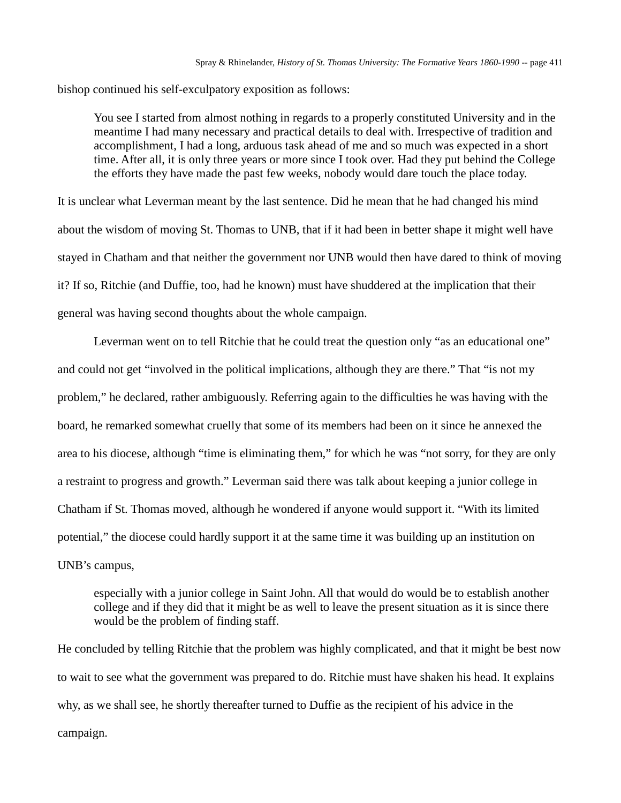bishop continued his self-exculpatory exposition as follows:

You see I started from almost nothing in regards to a properly constituted University and in the meantime I had many necessary and practical details to deal with. Irrespective of tradition and accomplishment, I had a long, arduous task ahead of me and so much was expected in a short time. After all, it is only three years or more since I took over. Had they put behind the College the efforts they have made the past few weeks, nobody would dare touch the place today.

It is unclear what Leverman meant by the last sentence. Did he mean that he had changed his mind about the wisdom of moving St. Thomas to UNB, that if it had been in better shape it might well have stayed in Chatham and that neither the government nor UNB would then have dared to think of moving it? If so, Ritchie (and Duffie, too, had he known) must have shuddered at the implication that their general was having second thoughts about the whole campaign.

Leverman went on to tell Ritchie that he could treat the question only "as an educational one" and could not get "involved in the political implications, although they are there." That "is not my problem," he declared, rather ambiguously. Referring again to the difficulties he was having with the board, he remarked somewhat cruelly that some of its members had been on it since he annexed the area to his diocese, although "time is eliminating them," for which he was "not sorry, for they are only a restraint to progress and growth." Leverman said there was talk about keeping a junior college in Chatham if St. Thomas moved, although he wondered if anyone would support it. "With its limited potential," the diocese could hardly support it at the same time it was building up an institution on UNB's campus,

especially with a junior college in Saint John. All that would do would be to establish another college and if they did that it might be as well to leave the present situation as it is since there would be the problem of finding staff.

He concluded by telling Ritchie that the problem was highly complicated, and that it might be best now to wait to see what the government was prepared to do. Ritchie must have shaken his head. It explains why, as we shall see, he shortly thereafter turned to Duffie as the recipient of his advice in the campaign.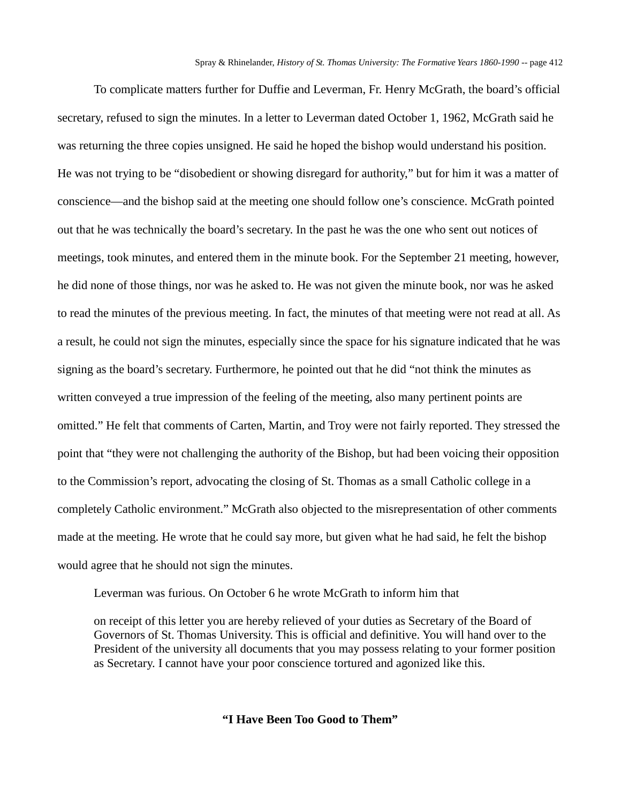To complicate matters further for Duffie and Leverman, Fr. Henry McGrath, the board's official secretary, refused to sign the minutes. In a letter to Leverman dated October 1, 1962, McGrath said he was returning the three copies unsigned. He said he hoped the bishop would understand his position. He was not trying to be "disobedient or showing disregard for authority," but for him it was a matter of conscience—and the bishop said at the meeting one should follow one's conscience. McGrath pointed out that he was technically the board's secretary. In the past he was the one who sent out notices of meetings, took minutes, and entered them in the minute book. For the September 21 meeting, however, he did none of those things, nor was he asked to. He was not given the minute book, nor was he asked to read the minutes of the previous meeting. In fact, the minutes of that meeting were not read at all. As a result, he could not sign the minutes, especially since the space for his signature indicated that he was signing as the board's secretary. Furthermore, he pointed out that he did "not think the minutes as written conveyed a true impression of the feeling of the meeting, also many pertinent points are omitted." He felt that comments of Carten, Martin, and Troy were not fairly reported. They stressed the point that "they were not challenging the authority of the Bishop, but had been voicing their opposition to the Commission's report, advocating the closing of St. Thomas as a small Catholic college in a completely Catholic environment." McGrath also objected to the misrepresentation of other comments made at the meeting. He wrote that he could say more, but given what he had said, he felt the bishop would agree that he should not sign the minutes.

Leverman was furious. On October 6 he wrote McGrath to inform him that

on receipt of this letter you are hereby relieved of your duties as Secretary of the Board of Governors of St. Thomas University. This is official and definitive. You will hand over to the President of the university all documents that you may possess relating to your former position as Secretary. I cannot have your poor conscience tortured and agonized like this.

**"I Have Been Too Good to Them"**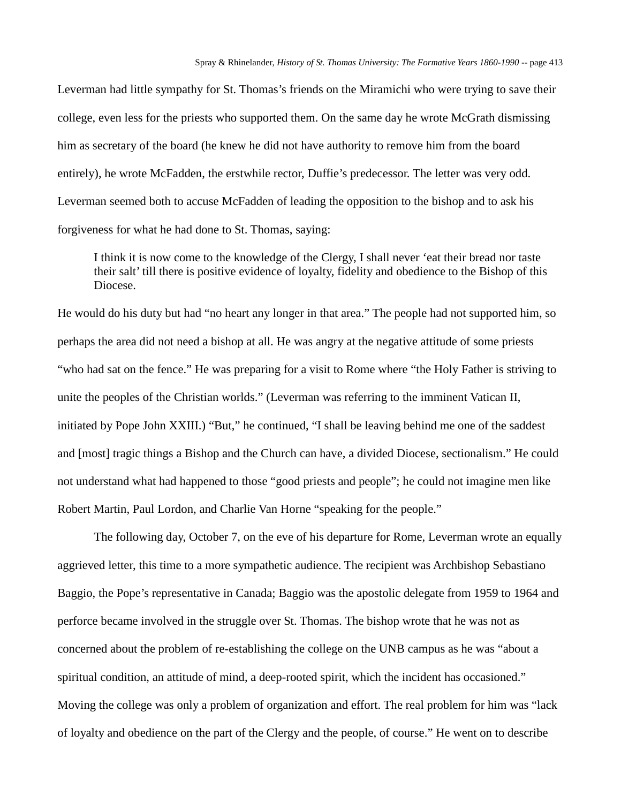Leverman had little sympathy for St. Thomas's friends on the Miramichi who were trying to save their college, even less for the priests who supported them. On the same day he wrote McGrath dismissing him as secretary of the board (he knew he did not have authority to remove him from the board entirely), he wrote McFadden, the erstwhile rector, Duffie's predecessor. The letter was very odd. Leverman seemed both to accuse McFadden of leading the opposition to the bishop and to ask his forgiveness for what he had done to St. Thomas, saying:

I think it is now come to the knowledge of the Clergy, I shall never 'eat their bread nor taste their salt' till there is positive evidence of loyalty, fidelity and obedience to the Bishop of this Diocese.

He would do his duty but had "no heart any longer in that area." The people had not supported him, so perhaps the area did not need a bishop at all. He was angry at the negative attitude of some priests "who had sat on the fence." He was preparing for a visit to Rome where "the Holy Father is striving to unite the peoples of the Christian worlds." (Leverman was referring to the imminent Vatican II, initiated by Pope John XXIII.) "But," he continued, "I shall be leaving behind me one of the saddest and [most] tragic things a Bishop and the Church can have, a divided Diocese, sectionalism." He could not understand what had happened to those "good priests and people"; he could not imagine men like Robert Martin, Paul Lordon, and Charlie Van Horne "speaking for the people."

The following day, October 7, on the eve of his departure for Rome, Leverman wrote an equally aggrieved letter, this time to a more sympathetic audience. The recipient was Archbishop Sebastiano Baggio, the Pope's representative in Canada; Baggio was the apostolic delegate from 1959 to 1964 and perforce became involved in the struggle over St. Thomas. The bishop wrote that he was not as concerned about the problem of re-establishing the college on the UNB campus as he was "about a spiritual condition, an attitude of mind, a deep-rooted spirit, which the incident has occasioned." Moving the college was only a problem of organization and effort. The real problem for him was "lack of loyalty and obedience on the part of the Clergy and the people, of course." He went on to describe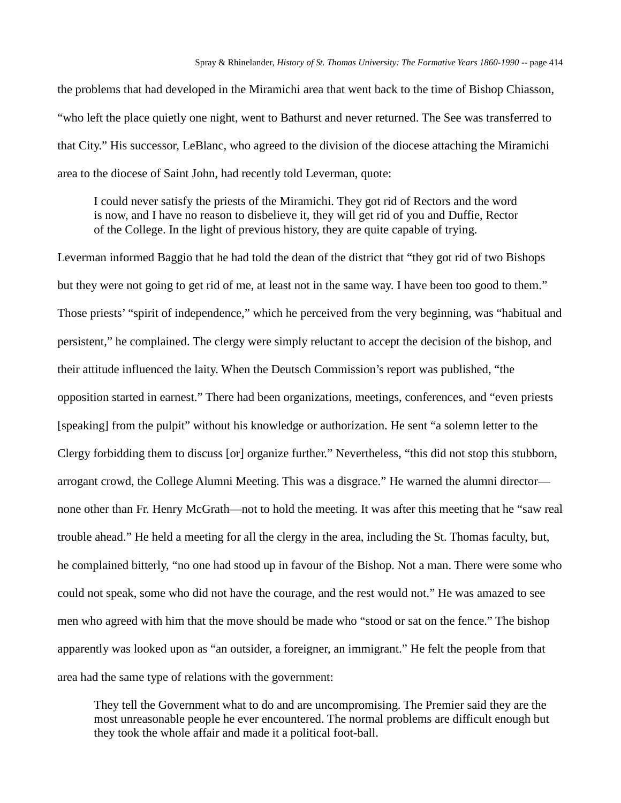the problems that had developed in the Miramichi area that went back to the time of Bishop Chiasson, "who left the place quietly one night, went to Bathurst and never returned. The See was transferred to that City." His successor, LeBlanc, who agreed to the division of the diocese attaching the Miramichi area to the diocese of Saint John, had recently told Leverman, quote:

I could never satisfy the priests of the Miramichi. They got rid of Rectors and the word is now, and I have no reason to disbelieve it, they will get rid of you and Duffie, Rector of the College. In the light of previous history, they are quite capable of trying.

Leverman informed Baggio that he had told the dean of the district that "they got rid of two Bishops but they were not going to get rid of me, at least not in the same way. I have been too good to them." Those priests' "spirit of independence," which he perceived from the very beginning, was "habitual and persistent," he complained. The clergy were simply reluctant to accept the decision of the bishop, and their attitude influenced the laity. When the Deutsch Commission's report was published, "the opposition started in earnest." There had been organizations, meetings, conferences, and "even priests [speaking] from the pulpit" without his knowledge or authorization. He sent "a solemn letter to the Clergy forbidding them to discuss [or] organize further." Nevertheless, "this did not stop this stubborn, arrogant crowd, the College Alumni Meeting. This was a disgrace." He warned the alumni director none other than Fr. Henry McGrath—not to hold the meeting. It was after this meeting that he "saw real trouble ahead." He held a meeting for all the clergy in the area, including the St. Thomas faculty, but, he complained bitterly, "no one had stood up in favour of the Bishop. Not a man. There were some who could not speak, some who did not have the courage, and the rest would not." He was amazed to see men who agreed with him that the move should be made who "stood or sat on the fence." The bishop apparently was looked upon as "an outsider, a foreigner, an immigrant." He felt the people from that area had the same type of relations with the government:

They tell the Government what to do and are uncompromising. The Premier said they are the most unreasonable people he ever encountered. The normal problems are difficult enough but they took the whole affair and made it a political foot-ball.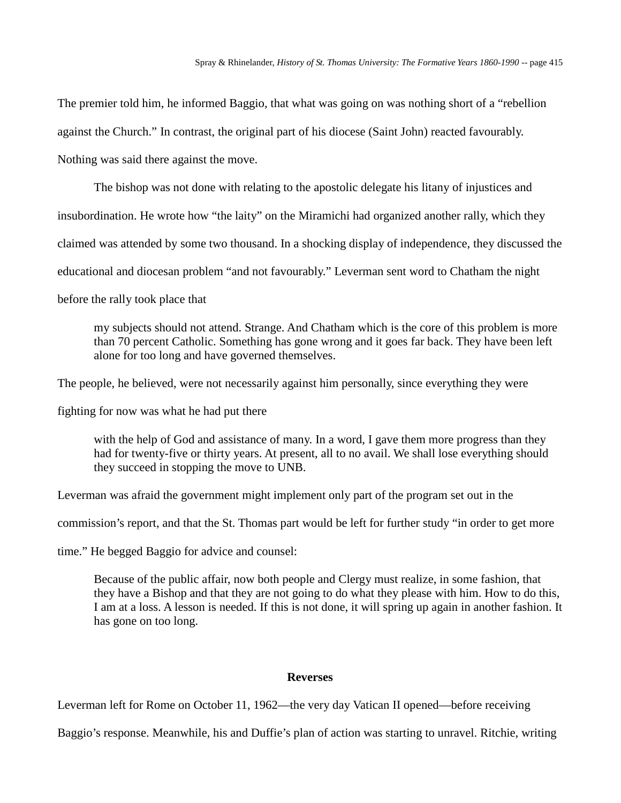The premier told him, he informed Baggio, that what was going on was nothing short of a "rebellion against the Church." In contrast, the original part of his diocese (Saint John) reacted favourably. Nothing was said there against the move.

The bishop was not done with relating to the apostolic delegate his litany of injustices and insubordination. He wrote how "the laity" on the Miramichi had organized another rally, which they claimed was attended by some two thousand. In a shocking display of independence, they discussed the educational and diocesan problem "and not favourably." Leverman sent word to Chatham the night before the rally took place that

my subjects should not attend. Strange. And Chatham which is the core of this problem is more than 70 percent Catholic. Something has gone wrong and it goes far back. They have been left alone for too long and have governed themselves.

The people, he believed, were not necessarily against him personally, since everything they were

fighting for now was what he had put there

with the help of God and assistance of many. In a word, I gave them more progress than they had for twenty-five or thirty years. At present, all to no avail. We shall lose everything should they succeed in stopping the move to UNB.

Leverman was afraid the government might implement only part of the program set out in the

commission's report, and that the St. Thomas part would be left for further study "in order to get more

time." He begged Baggio for advice and counsel:

Because of the public affair, now both people and Clergy must realize, in some fashion, that they have a Bishop and that they are not going to do what they please with him. How to do this, I am at a loss. A lesson is needed. If this is not done, it will spring up again in another fashion. It has gone on too long.

#### **Reverses**

Leverman left for Rome on October 11, 1962—the very day Vatican II opened—before receiving

Baggio's response. Meanwhile, his and Duffie's plan of action was starting to unravel. Ritchie, writing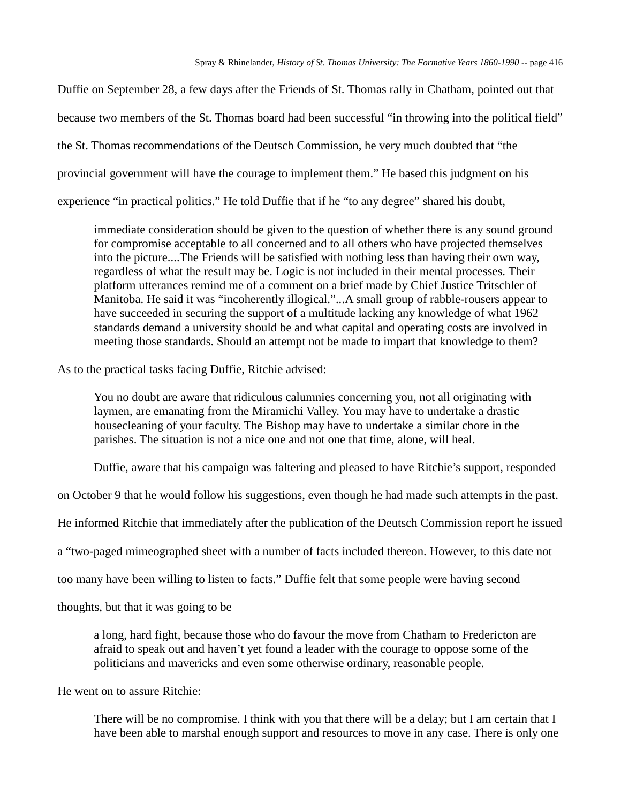Duffie on September 28, a few days after the Friends of St. Thomas rally in Chatham, pointed out that because two members of the St. Thomas board had been successful "in throwing into the political field" the St. Thomas recommendations of the Deutsch Commission, he very much doubted that "the provincial government will have the courage to implement them." He based this judgment on his experience "in practical politics." He told Duffie that if he "to any degree" shared his doubt,

immediate consideration should be given to the question of whether there is any sound ground for compromise acceptable to all concerned and to all others who have projected themselves into the picture....The Friends will be satisfied with nothing less than having their own way, regardless of what the result may be. Logic is not included in their mental processes. Their platform utterances remind me of a comment on a brief made by Chief Justice Tritschler of Manitoba. He said it was "incoherently illogical."...A small group of rabble-rousers appear to have succeeded in securing the support of a multitude lacking any knowledge of what 1962 standards demand a university should be and what capital and operating costs are involved in meeting those standards. Should an attempt not be made to impart that knowledge to them?

As to the practical tasks facing Duffie, Ritchie advised:

You no doubt are aware that ridiculous calumnies concerning you, not all originating with laymen, are emanating from the Miramichi Valley. You may have to undertake a drastic housecleaning of your faculty. The Bishop may have to undertake a similar chore in the parishes. The situation is not a nice one and not one that time, alone, will heal.

Duffie, aware that his campaign was faltering and pleased to have Ritchie's support, responded

on October 9 that he would follow his suggestions, even though he had made such attempts in the past.

He informed Ritchie that immediately after the publication of the Deutsch Commission report he issued

a "two-paged mimeographed sheet with a number of facts included thereon. However, to this date not

too many have been willing to listen to facts." Duffie felt that some people were having second

thoughts, but that it was going to be

a long, hard fight, because those who do favour the move from Chatham to Fredericton are afraid to speak out and haven't yet found a leader with the courage to oppose some of the politicians and mavericks and even some otherwise ordinary, reasonable people.

He went on to assure Ritchie:

There will be no compromise. I think with you that there will be a delay; but I am certain that I have been able to marshal enough support and resources to move in any case. There is only one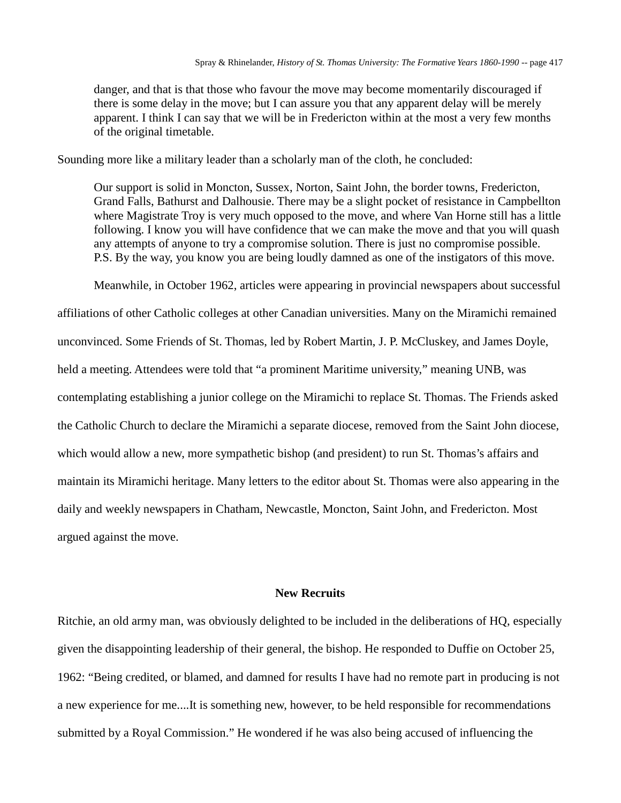danger, and that is that those who favour the move may become momentarily discouraged if there is some delay in the move; but I can assure you that any apparent delay will be merely apparent. I think I can say that we will be in Fredericton within at the most a very few months of the original timetable.

Sounding more like a military leader than a scholarly man of the cloth, he concluded:

Our support is solid in Moncton, Sussex, Norton, Saint John, the border towns, Fredericton, Grand Falls, Bathurst and Dalhousie. There may be a slight pocket of resistance in Campbellton where Magistrate Troy is very much opposed to the move, and where Van Horne still has a little following. I know you will have confidence that we can make the move and that you will quash any attempts of anyone to try a compromise solution. There is just no compromise possible. P.S. By the way, you know you are being loudly damned as one of the instigators of this move.

Meanwhile, in October 1962, articles were appearing in provincial newspapers about successful affiliations of other Catholic colleges at other Canadian universities. Many on the Miramichi remained unconvinced. Some Friends of St. Thomas, led by Robert Martin, J. P. McCluskey, and James Doyle, held a meeting. Attendees were told that "a prominent Maritime university," meaning UNB, was contemplating establishing a junior college on the Miramichi to replace St. Thomas. The Friends asked the Catholic Church to declare the Miramichi a separate diocese, removed from the Saint John diocese, which would allow a new, more sympathetic bishop (and president) to run St. Thomas's affairs and maintain its Miramichi heritage. Many letters to the editor about St. Thomas were also appearing in the daily and weekly newspapers in Chatham, Newcastle, Moncton, Saint John, and Fredericton. Most argued against the move.

# **New Recruits**

Ritchie, an old army man, was obviously delighted to be included in the deliberations of HQ, especially given the disappointing leadership of their general, the bishop. He responded to Duffie on October 25, 1962: "Being credited, or blamed, and damned for results I have had no remote part in producing is not a new experience for me....It is something new, however, to be held responsible for recommendations submitted by a Royal Commission." He wondered if he was also being accused of influencing the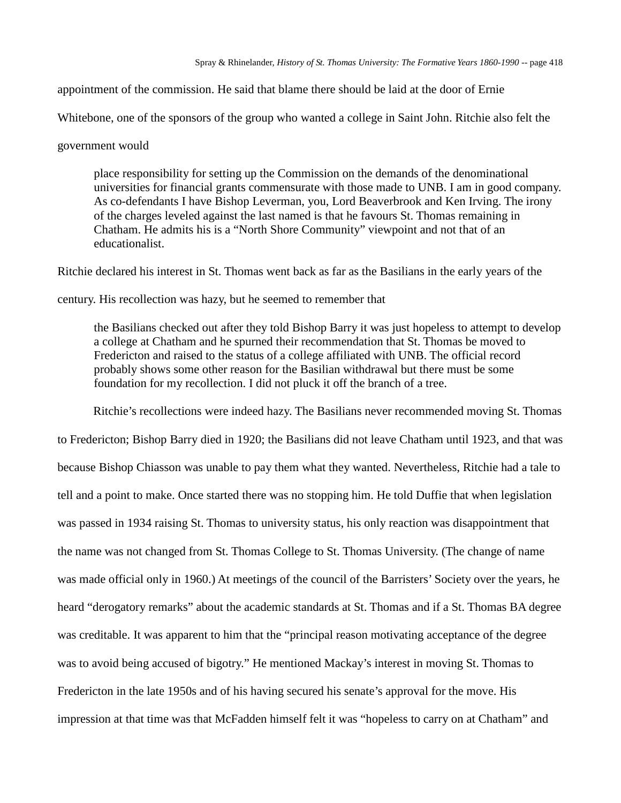appointment of the commission. He said that blame there should be laid at the door of Ernie

Whitebone, one of the sponsors of the group who wanted a college in Saint John. Ritchie also felt the

government would

place responsibility for setting up the Commission on the demands of the denominational universities for financial grants commensurate with those made to UNB. I am in good company. As co-defendants I have Bishop Leverman, you, Lord Beaverbrook and Ken Irving. The irony of the charges leveled against the last named is that he favours St. Thomas remaining in Chatham. He admits his is a "North Shore Community" viewpoint and not that of an educationalist.

Ritchie declared his interest in St. Thomas went back as far as the Basilians in the early years of the

century. His recollection was hazy, but he seemed to remember that

the Basilians checked out after they told Bishop Barry it was just hopeless to attempt to develop a college at Chatham and he spurned their recommendation that St. Thomas be moved to Fredericton and raised to the status of a college affiliated with UNB. The official record probably shows some other reason for the Basilian withdrawal but there must be some foundation for my recollection. I did not pluck it off the branch of a tree.

Ritchie's recollections were indeed hazy. The Basilians never recommended moving St. Thomas to Fredericton; Bishop Barry died in 1920; the Basilians did not leave Chatham until 1923, and that was because Bishop Chiasson was unable to pay them what they wanted. Nevertheless, Ritchie had a tale to tell and a point to make. Once started there was no stopping him. He told Duffie that when legislation was passed in 1934 raising St. Thomas to university status, his only reaction was disappointment that the name was not changed from St. Thomas College to St. Thomas University. (The change of name was made official only in 1960.) At meetings of the council of the Barristers' Society over the years, he heard "derogatory remarks" about the academic standards at St. Thomas and if a St. Thomas BA degree was creditable. It was apparent to him that the "principal reason motivating acceptance of the degree was to avoid being accused of bigotry." He mentioned Mackay's interest in moving St. Thomas to Fredericton in the late 1950s and of his having secured his senate's approval for the move. His impression at that time was that McFadden himself felt it was "hopeless to carry on at Chatham" and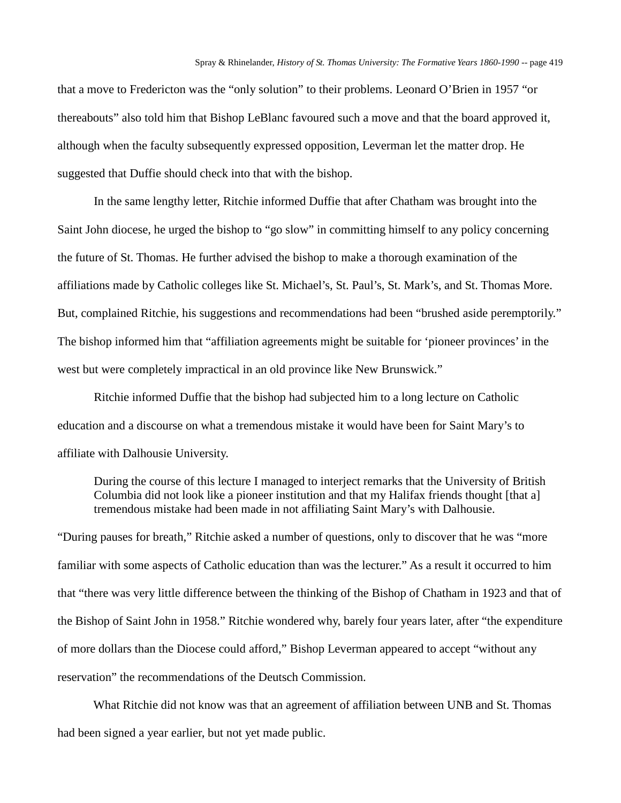that a move to Fredericton was the "only solution" to their problems. Leonard O'Brien in 1957 "or thereabouts" also told him that Bishop LeBlanc favoured such a move and that the board approved it, although when the faculty subsequently expressed opposition, Leverman let the matter drop. He suggested that Duffie should check into that with the bishop.

In the same lengthy letter, Ritchie informed Duffie that after Chatham was brought into the Saint John diocese, he urged the bishop to "go slow" in committing himself to any policy concerning the future of St. Thomas. He further advised the bishop to make a thorough examination of the affiliations made by Catholic colleges like St. Michael's, St. Paul's, St. Mark's, and St. Thomas More. But, complained Ritchie, his suggestions and recommendations had been "brushed aside peremptorily." The bishop informed him that "affiliation agreements might be suitable for 'pioneer provinces' in the west but were completely impractical in an old province like New Brunswick."

Ritchie informed Duffie that the bishop had subjected him to a long lecture on Catholic education and a discourse on what a tremendous mistake it would have been for Saint Mary's to affiliate with Dalhousie University.

During the course of this lecture I managed to interject remarks that the University of British Columbia did not look like a pioneer institution and that my Halifax friends thought [that a] tremendous mistake had been made in not affiliating Saint Mary's with Dalhousie.

"During pauses for breath," Ritchie asked a number of questions, only to discover that he was "more familiar with some aspects of Catholic education than was the lecturer." As a result it occurred to him that "there was very little difference between the thinking of the Bishop of Chatham in 1923 and that of the Bishop of Saint John in 1958." Ritchie wondered why, barely four years later, after "the expenditure of more dollars than the Diocese could afford," Bishop Leverman appeared to accept "without any reservation" the recommendations of the Deutsch Commission.

What Ritchie did not know was that an agreement of affiliation between UNB and St. Thomas had been signed a year earlier, but not yet made public.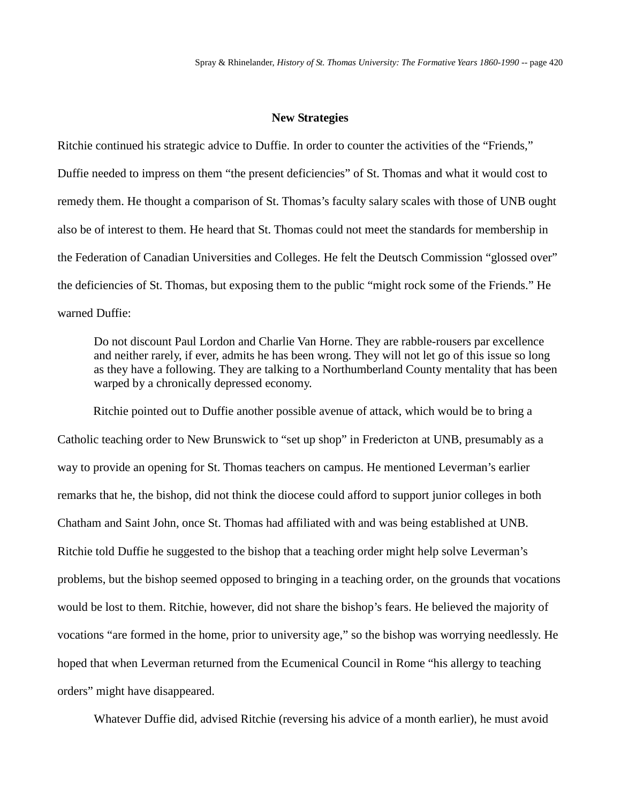#### **New Strategies**

Ritchie continued his strategic advice to Duffie. In order to counter the activities of the "Friends," Duffie needed to impress on them "the present deficiencies" of St. Thomas and what it would cost to remedy them. He thought a comparison of St. Thomas's faculty salary scales with those of UNB ought also be of interest to them. He heard that St. Thomas could not meet the standards for membership in the Federation of Canadian Universities and Colleges. He felt the Deutsch Commission "glossed over" the deficiencies of St. Thomas, but exposing them to the public "might rock some of the Friends." He warned Duffie:

Do not discount Paul Lordon and Charlie Van Horne. They are rabble-rousers par excellence and neither rarely, if ever, admits he has been wrong. They will not let go of this issue so long as they have a following. They are talking to a Northumberland County mentality that has been warped by a chronically depressed economy.

Ritchie pointed out to Duffie another possible avenue of attack, which would be to bring a Catholic teaching order to New Brunswick to "set up shop" in Fredericton at UNB, presumably as a way to provide an opening for St. Thomas teachers on campus. He mentioned Leverman's earlier remarks that he, the bishop, did not think the diocese could afford to support junior colleges in both Chatham and Saint John, once St. Thomas had affiliated with and was being established at UNB. Ritchie told Duffie he suggested to the bishop that a teaching order might help solve Leverman's problems, but the bishop seemed opposed to bringing in a teaching order, on the grounds that vocations would be lost to them. Ritchie, however, did not share the bishop's fears. He believed the majority of vocations "are formed in the home, prior to university age," so the bishop was worrying needlessly. He hoped that when Leverman returned from the Ecumenical Council in Rome "his allergy to teaching orders" might have disappeared.

Whatever Duffie did, advised Ritchie (reversing his advice of a month earlier), he must avoid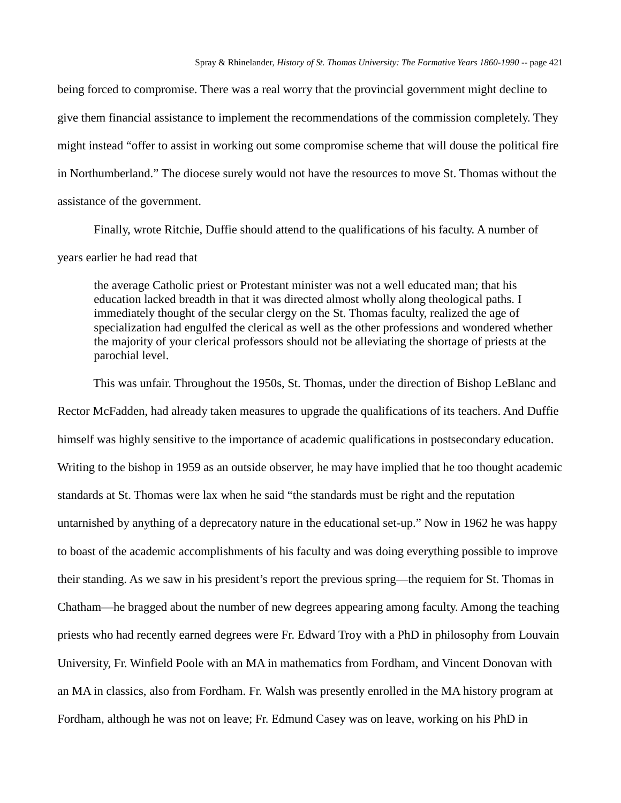being forced to compromise. There was a real worry that the provincial government might decline to give them financial assistance to implement the recommendations of the commission completely. They might instead "offer to assist in working out some compromise scheme that will douse the political fire in Northumberland." The diocese surely would not have the resources to move St. Thomas without the assistance of the government.

Finally, wrote Ritchie, Duffie should attend to the qualifications of his faculty. A number of years earlier he had read that

the average Catholic priest or Protestant minister was not a well educated man; that his education lacked breadth in that it was directed almost wholly along theological paths. I immediately thought of the secular clergy on the St. Thomas faculty, realized the age of specialization had engulfed the clerical as well as the other professions and wondered whether the majority of your clerical professors should not be alleviating the shortage of priests at the parochial level.

This was unfair. Throughout the 1950s, St. Thomas, under the direction of Bishop LeBlanc and Rector McFadden, had already taken measures to upgrade the qualifications of its teachers. And Duffie himself was highly sensitive to the importance of academic qualifications in postsecondary education. Writing to the bishop in 1959 as an outside observer, he may have implied that he too thought academic standards at St. Thomas were lax when he said "the standards must be right and the reputation untarnished by anything of a deprecatory nature in the educational set-up." Now in 1962 he was happy to boast of the academic accomplishments of his faculty and was doing everything possible to improve their standing. As we saw in his president's report the previous spring—the requiem for St. Thomas in Chatham—he bragged about the number of new degrees appearing among faculty. Among the teaching priests who had recently earned degrees were Fr. Edward Troy with a PhD in philosophy from Louvain University, Fr. Winfield Poole with an MA in mathematics from Fordham, and Vincent Donovan with an MA in classics, also from Fordham. Fr. Walsh was presently enrolled in the MA history program at Fordham, although he was not on leave; Fr. Edmund Casey was on leave, working on his PhD in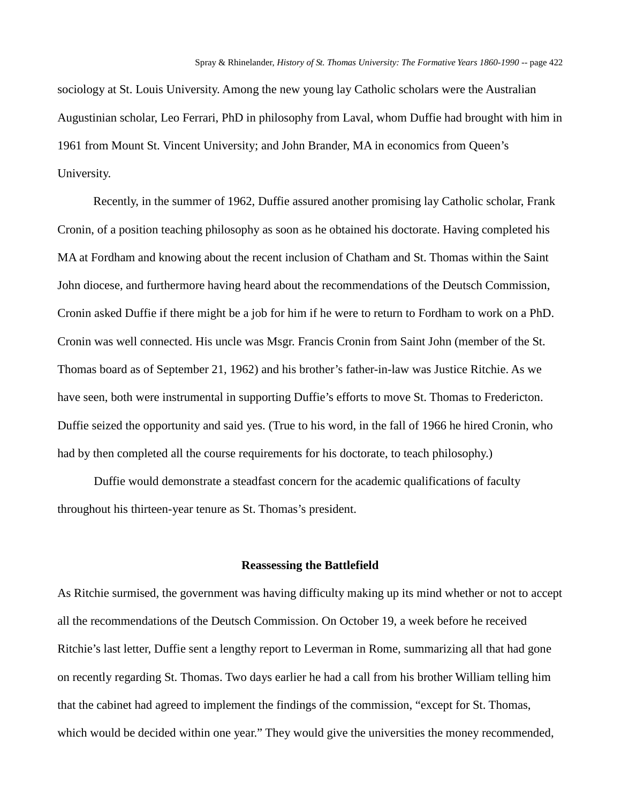sociology at St. Louis University. Among the new young lay Catholic scholars were the Australian Augustinian scholar, Leo Ferrari, PhD in philosophy from Laval, whom Duffie had brought with him in 1961 from Mount St. Vincent University; and John Brander, MA in economics from Queen's University.

Recently, in the summer of 1962, Duffie assured another promising lay Catholic scholar, Frank Cronin, of a position teaching philosophy as soon as he obtained his doctorate. Having completed his MA at Fordham and knowing about the recent inclusion of Chatham and St. Thomas within the Saint John diocese, and furthermore having heard about the recommendations of the Deutsch Commission, Cronin asked Duffie if there might be a job for him if he were to return to Fordham to work on a PhD. Cronin was well connected. His uncle was Msgr. Francis Cronin from Saint John (member of the St. Thomas board as of September 21, 1962) and his brother's father-in-law was Justice Ritchie. As we have seen, both were instrumental in supporting Duffie's efforts to move St. Thomas to Fredericton. Duffie seized the opportunity and said yes. (True to his word, in the fall of 1966 he hired Cronin, who had by then completed all the course requirements for his doctorate, to teach philosophy.)

Duffie would demonstrate a steadfast concern for the academic qualifications of faculty throughout his thirteen-year tenure as St. Thomas's president.

#### **Reassessing the Battlefield**

As Ritchie surmised, the government was having difficulty making up its mind whether or not to accept all the recommendations of the Deutsch Commission. On October 19, a week before he received Ritchie's last letter, Duffie sent a lengthy report to Leverman in Rome, summarizing all that had gone on recently regarding St. Thomas. Two days earlier he had a call from his brother William telling him that the cabinet had agreed to implement the findings of the commission, "except for St. Thomas, which would be decided within one year." They would give the universities the money recommended,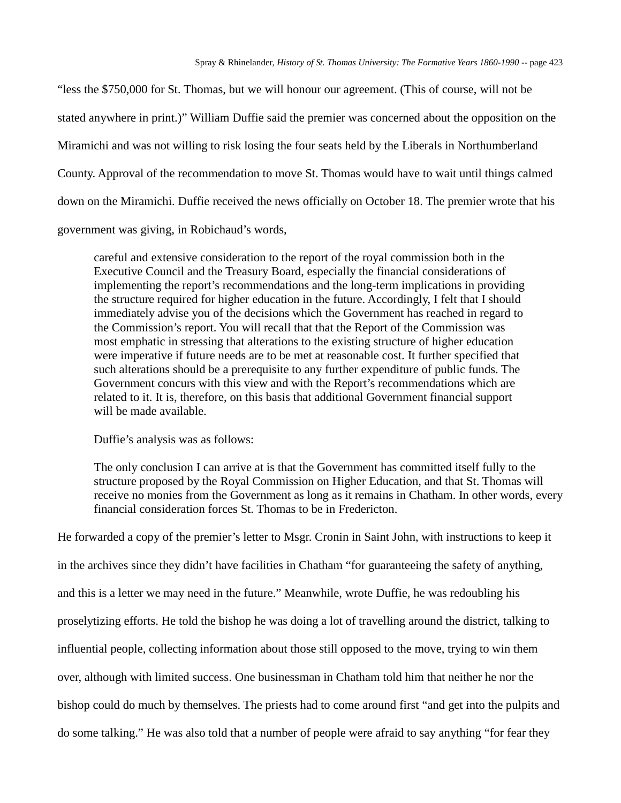"less the \$750,000 for St. Thomas, but we will honour our agreement. (This of course, will not be stated anywhere in print.)" William Duffie said the premier was concerned about the opposition on the Miramichi and was not willing to risk losing the four seats held by the Liberals in Northumberland County. Approval of the recommendation to move St. Thomas would have to wait until things calmed down on the Miramichi. Duffie received the news officially on October 18. The premier wrote that his government was giving, in Robichaud's words,

careful and extensive consideration to the report of the royal commission both in the Executive Council and the Treasury Board, especially the financial considerations of implementing the report's recommendations and the long-term implications in providing the structure required for higher education in the future. Accordingly, I felt that I should immediately advise you of the decisions which the Government has reached in regard to the Commission's report. You will recall that that the Report of the Commission was most emphatic in stressing that alterations to the existing structure of higher education were imperative if future needs are to be met at reasonable cost. It further specified that such alterations should be a prerequisite to any further expenditure of public funds. The Government concurs with this view and with the Report's recommendations which are related to it. It is, therefore, on this basis that additional Government financial support will be made available.

Duffie's analysis was as follows:

The only conclusion I can arrive at is that the Government has committed itself fully to the structure proposed by the Royal Commission on Higher Education, and that St. Thomas will receive no monies from the Government as long as it remains in Chatham. In other words, every financial consideration forces St. Thomas to be in Fredericton.

He forwarded a copy of the premier's letter to Msgr. Cronin in Saint John, with instructions to keep it in the archives since they didn't have facilities in Chatham "for guaranteeing the safety of anything, and this is a letter we may need in the future." Meanwhile, wrote Duffie, he was redoubling his proselytizing efforts. He told the bishop he was doing a lot of travelling around the district, talking to influential people, collecting information about those still opposed to the move, trying to win them over, although with limited success. One businessman in Chatham told him that neither he nor the bishop could do much by themselves. The priests had to come around first "and get into the pulpits and do some talking." He was also told that a number of people were afraid to say anything "for fear they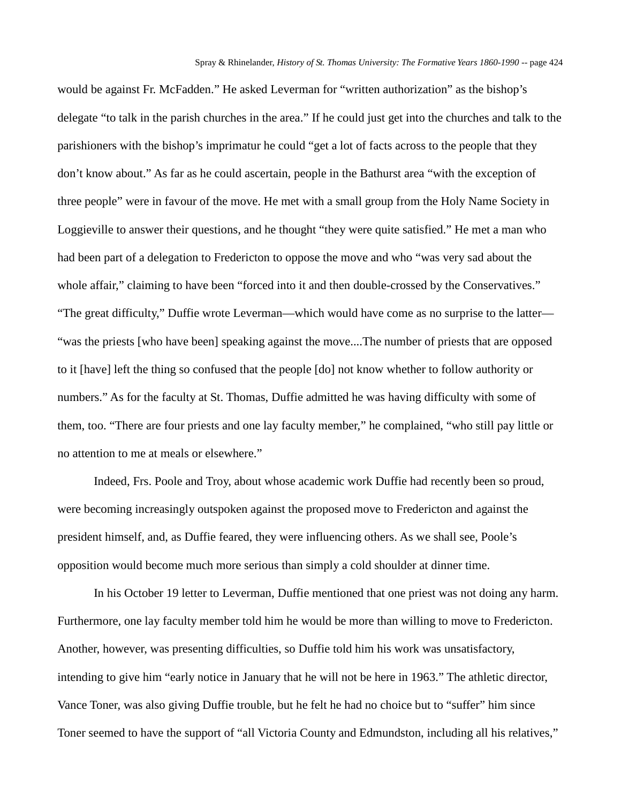would be against Fr. McFadden." He asked Leverman for "written authorization" as the bishop's delegate "to talk in the parish churches in the area." If he could just get into the churches and talk to the parishioners with the bishop's imprimatur he could "get a lot of facts across to the people that they don't know about." As far as he could ascertain, people in the Bathurst area "with the exception of three people" were in favour of the move. He met with a small group from the Holy Name Society in Loggieville to answer their questions, and he thought "they were quite satisfied." He met a man who had been part of a delegation to Fredericton to oppose the move and who "was very sad about the whole affair," claiming to have been "forced into it and then double-crossed by the Conservatives." "The great difficulty," Duffie wrote Leverman—which would have come as no surprise to the latter— "was the priests [who have been] speaking against the move....The number of priests that are opposed to it [have] left the thing so confused that the people [do] not know whether to follow authority or numbers." As for the faculty at St. Thomas, Duffie admitted he was having difficulty with some of them, too. "There are four priests and one lay faculty member," he complained, "who still pay little or no attention to me at meals or elsewhere."

Indeed, Frs. Poole and Troy, about whose academic work Duffie had recently been so proud, were becoming increasingly outspoken against the proposed move to Fredericton and against the president himself, and, as Duffie feared, they were influencing others. As we shall see, Poole's opposition would become much more serious than simply a cold shoulder at dinner time.

In his October 19 letter to Leverman, Duffie mentioned that one priest was not doing any harm. Furthermore, one lay faculty member told him he would be more than willing to move to Fredericton. Another, however, was presenting difficulties, so Duffie told him his work was unsatisfactory, intending to give him "early notice in January that he will not be here in 1963." The athletic director, Vance Toner, was also giving Duffie trouble, but he felt he had no choice but to "suffer" him since Toner seemed to have the support of "all Victoria County and Edmundston, including all his relatives,"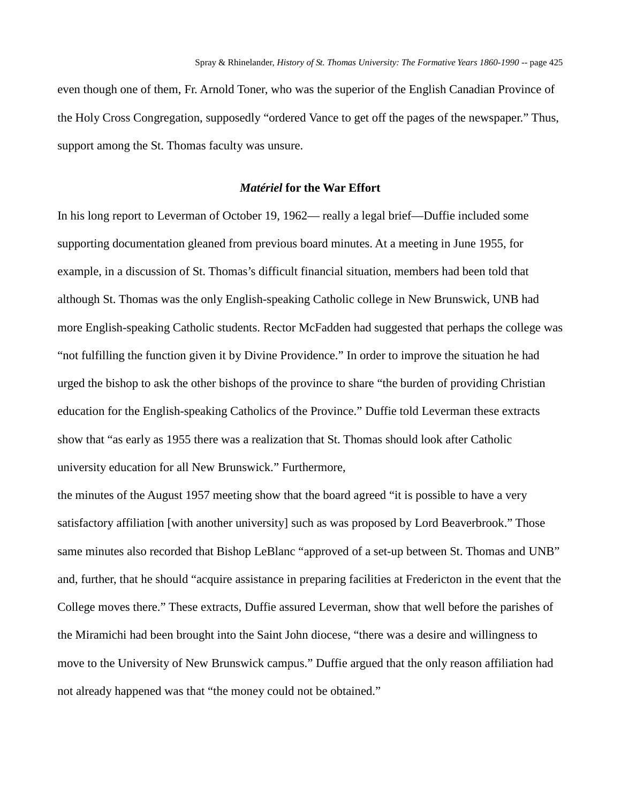even though one of them, Fr. Arnold Toner, who was the superior of the English Canadian Province of the Holy Cross Congregation, supposedly "ordered Vance to get off the pages of the newspaper." Thus, support among the St. Thomas faculty was unsure.

#### *Matériel* **for the War Effort**

In his long report to Leverman of October 19, 1962— really a legal brief—Duffie included some supporting documentation gleaned from previous board minutes. At a meeting in June 1955, for example, in a discussion of St. Thomas's difficult financial situation, members had been told that although St. Thomas was the only English-speaking Catholic college in New Brunswick, UNB had more English-speaking Catholic students. Rector McFadden had suggested that perhaps the college was "not fulfilling the function given it by Divine Providence." In order to improve the situation he had urged the bishop to ask the other bishops of the province to share "the burden of providing Christian education for the English-speaking Catholics of the Province." Duffie told Leverman these extracts show that "as early as 1955 there was a realization that St. Thomas should look after Catholic university education for all New Brunswick." Furthermore,

the minutes of the August 1957 meeting show that the board agreed "it is possible to have a very satisfactory affiliation [with another university] such as was proposed by Lord Beaverbrook." Those same minutes also recorded that Bishop LeBlanc "approved of a set-up between St. Thomas and UNB" and, further, that he should "acquire assistance in preparing facilities at Fredericton in the event that the College moves there." These extracts, Duffie assured Leverman, show that well before the parishes of the Miramichi had been brought into the Saint John diocese, "there was a desire and willingness to move to the University of New Brunswick campus." Duffie argued that the only reason affiliation had not already happened was that "the money could not be obtained."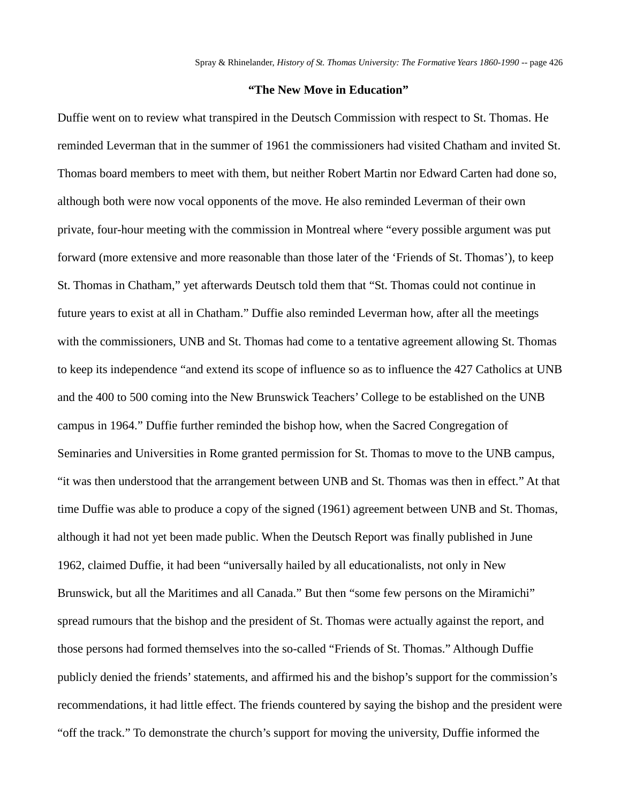# **"The New Move in Education"**

Duffie went on to review what transpired in the Deutsch Commission with respect to St. Thomas. He reminded Leverman that in the summer of 1961 the commissioners had visited Chatham and invited St. Thomas board members to meet with them, but neither Robert Martin nor Edward Carten had done so, although both were now vocal opponents of the move. He also reminded Leverman of their own private, four-hour meeting with the commission in Montreal where "every possible argument was put forward (more extensive and more reasonable than those later of the 'Friends of St. Thomas'), to keep St. Thomas in Chatham," yet afterwards Deutsch told them that "St. Thomas could not continue in future years to exist at all in Chatham." Duffie also reminded Leverman how, after all the meetings with the commissioners, UNB and St. Thomas had come to a tentative agreement allowing St. Thomas to keep its independence "and extend its scope of influence so as to influence the 427 Catholics at UNB and the 400 to 500 coming into the New Brunswick Teachers' College to be established on the UNB campus in 1964." Duffie further reminded the bishop how, when the Sacred Congregation of Seminaries and Universities in Rome granted permission for St. Thomas to move to the UNB campus, "it was then understood that the arrangement between UNB and St. Thomas was then in effect." At that time Duffie was able to produce a copy of the signed (1961) agreement between UNB and St. Thomas, although it had not yet been made public. When the Deutsch Report was finally published in June 1962, claimed Duffie, it had been "universally hailed by all educationalists, not only in New Brunswick, but all the Maritimes and all Canada." But then "some few persons on the Miramichi" spread rumours that the bishop and the president of St. Thomas were actually against the report, and those persons had formed themselves into the so-called "Friends of St. Thomas." Although Duffie publicly denied the friends' statements, and affirmed his and the bishop's support for the commission's recommendations, it had little effect. The friends countered by saying the bishop and the president were "off the track." To demonstrate the church's support for moving the university, Duffie informed the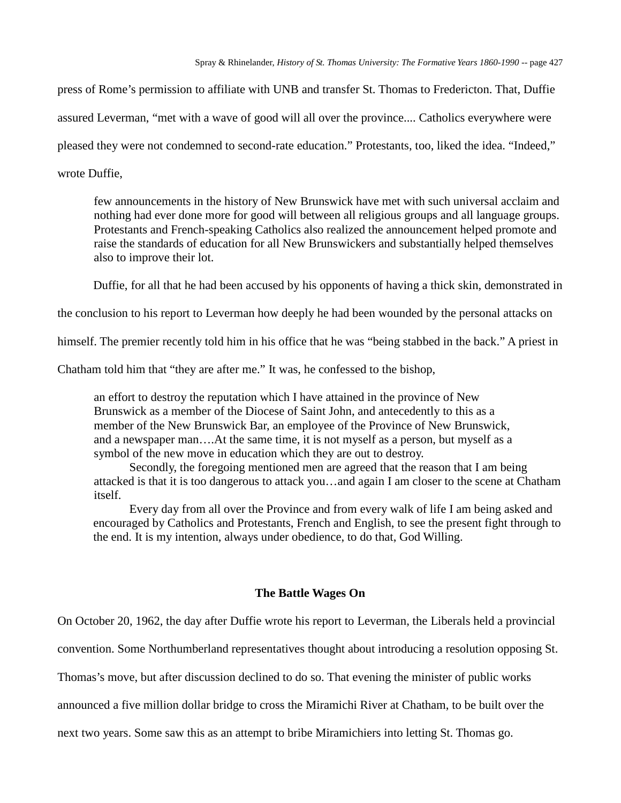press of Rome's permission to affiliate with UNB and transfer St. Thomas to Fredericton. That, Duffie assured Leverman, "met with a wave of good will all over the province.... Catholics everywhere were pleased they were not condemned to second-rate education." Protestants, too, liked the idea. "Indeed," wrote Duffie,

few announcements in the history of New Brunswick have met with such universal acclaim and nothing had ever done more for good will between all religious groups and all language groups. Protestants and French-speaking Catholics also realized the announcement helped promote and raise the standards of education for all New Brunswickers and substantially helped themselves also to improve their lot.

Duffie, for all that he had been accused by his opponents of having a thick skin, demonstrated in

the conclusion to his report to Leverman how deeply he had been wounded by the personal attacks on

himself. The premier recently told him in his office that he was "being stabbed in the back." A priest in

Chatham told him that "they are after me." It was, he confessed to the bishop,

an effort to destroy the reputation which I have attained in the province of New Brunswick as a member of the Diocese of Saint John, and antecedently to this as a member of the New Brunswick Bar, an employee of the Province of New Brunswick, and a newspaper man….At the same time, it is not myself as a person, but myself as a symbol of the new move in education which they are out to destroy.

Secondly, the foregoing mentioned men are agreed that the reason that I am being attacked is that it is too dangerous to attack you…and again I am closer to the scene at Chatham itself.

Every day from all over the Province and from every walk of life I am being asked and encouraged by Catholics and Protestants, French and English, to see the present fight through to the end. It is my intention, always under obedience, to do that, God Willing.

# **The Battle Wages On**

On October 20, 1962, the day after Duffie wrote his report to Leverman, the Liberals held a provincial

convention. Some Northumberland representatives thought about introducing a resolution opposing St.

Thomas's move, but after discussion declined to do so. That evening the minister of public works

announced a five million dollar bridge to cross the Miramichi River at Chatham, to be built over the

next two years. Some saw this as an attempt to bribe Miramichiers into letting St. Thomas go.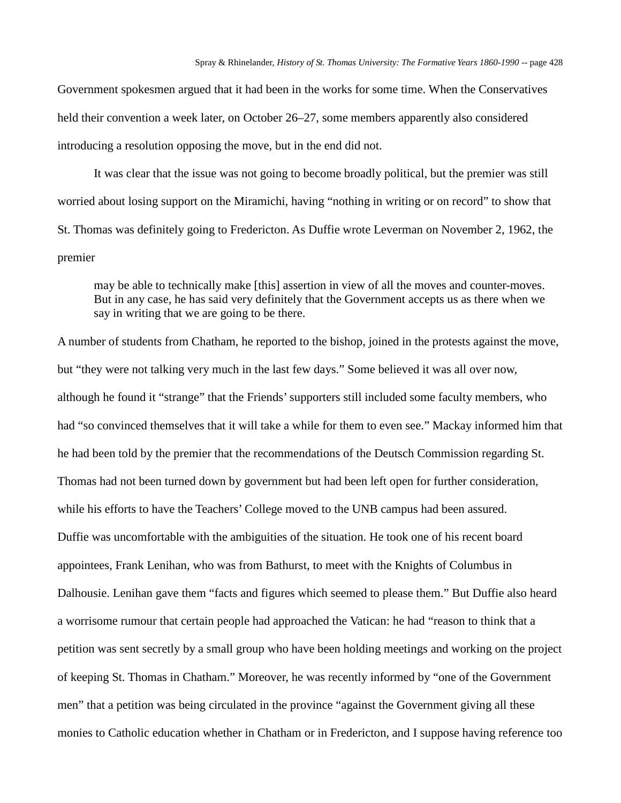Government spokesmen argued that it had been in the works for some time. When the Conservatives held their convention a week later, on October 26–27, some members apparently also considered introducing a resolution opposing the move, but in the end did not.

It was clear that the issue was not going to become broadly political, but the premier was still worried about losing support on the Miramichi, having "nothing in writing or on record" to show that St. Thomas was definitely going to Fredericton. As Duffie wrote Leverman on November 2, 1962, the premier

may be able to technically make [this] assertion in view of all the moves and counter-moves. But in any case, he has said very definitely that the Government accepts us as there when we say in writing that we are going to be there.

A number of students from Chatham, he reported to the bishop, joined in the protests against the move, but "they were not talking very much in the last few days." Some believed it was all over now, although he found it "strange" that the Friends' supporters still included some faculty members, who had "so convinced themselves that it will take a while for them to even see." Mackay informed him that he had been told by the premier that the recommendations of the Deutsch Commission regarding St. Thomas had not been turned down by government but had been left open for further consideration, while his efforts to have the Teachers' College moved to the UNB campus had been assured. Duffie was uncomfortable with the ambiguities of the situation. He took one of his recent board appointees, Frank Lenihan, who was from Bathurst, to meet with the Knights of Columbus in Dalhousie. Lenihan gave them "facts and figures which seemed to please them." But Duffie also heard a worrisome rumour that certain people had approached the Vatican: he had "reason to think that a petition was sent secretly by a small group who have been holding meetings and working on the project of keeping St. Thomas in Chatham." Moreover, he was recently informed by "one of the Government men" that a petition was being circulated in the province "against the Government giving all these monies to Catholic education whether in Chatham or in Fredericton, and I suppose having reference too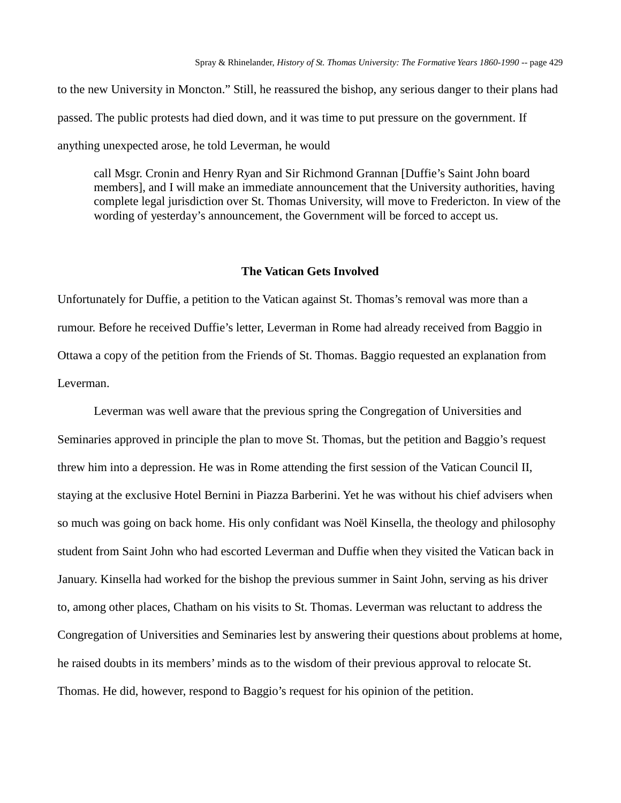to the new University in Moncton." Still, he reassured the bishop, any serious danger to their plans had passed. The public protests had died down, and it was time to put pressure on the government. If anything unexpected arose, he told Leverman, he would

call Msgr. Cronin and Henry Ryan and Sir Richmond Grannan [Duffie's Saint John board members], and I will make an immediate announcement that the University authorities, having complete legal jurisdiction over St. Thomas University, will move to Fredericton. In view of the wording of yesterday's announcement, the Government will be forced to accept us.

#### **The Vatican Gets Involved**

Unfortunately for Duffie, a petition to the Vatican against St. Thomas's removal was more than a rumour. Before he received Duffie's letter, Leverman in Rome had already received from Baggio in Ottawa a copy of the petition from the Friends of St. Thomas. Baggio requested an explanation from Leverman.

Leverman was well aware that the previous spring the Congregation of Universities and Seminaries approved in principle the plan to move St. Thomas, but the petition and Baggio's request threw him into a depression. He was in Rome attending the first session of the Vatican Council II, staying at the exclusive Hotel Bernini in Piazza Barberini. Yet he was without his chief advisers when so much was going on back home. His only confidant was Noël Kinsella, the theology and philosophy student from Saint John who had escorted Leverman and Duffie when they visited the Vatican back in January. Kinsella had worked for the bishop the previous summer in Saint John, serving as his driver to, among other places, Chatham on his visits to St. Thomas. Leverman was reluctant to address the Congregation of Universities and Seminaries lest by answering their questions about problems at home, he raised doubts in its members' minds as to the wisdom of their previous approval to relocate St. Thomas. He did, however, respond to Baggio's request for his opinion of the petition.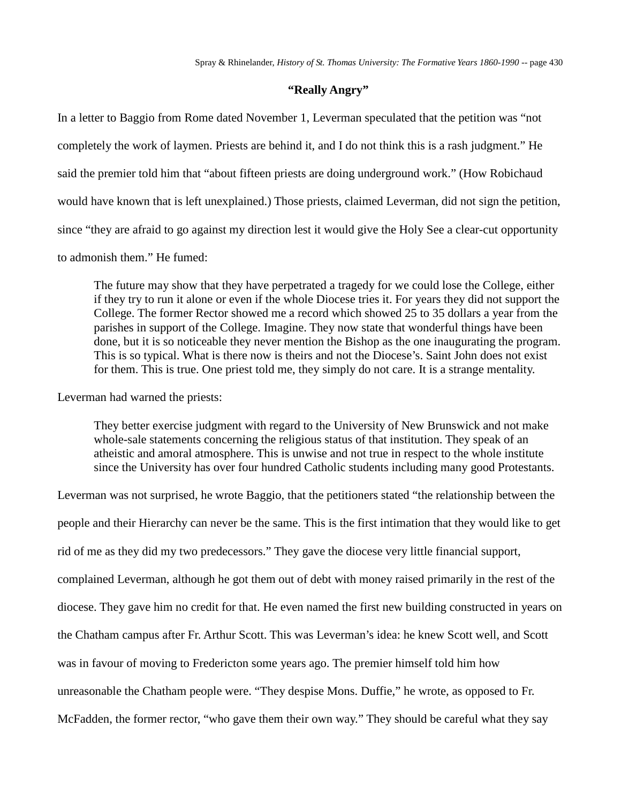# **"Really Angry"**

In a letter to Baggio from Rome dated November 1, Leverman speculated that the petition was "not completely the work of laymen. Priests are behind it, and I do not think this is a rash judgment." He said the premier told him that "about fifteen priests are doing underground work." (How Robichaud would have known that is left unexplained.) Those priests, claimed Leverman, did not sign the petition, since "they are afraid to go against my direction lest it would give the Holy See a clear-cut opportunity to admonish them." He fumed:

The future may show that they have perpetrated a tragedy for we could lose the College, either if they try to run it alone or even if the whole Diocese tries it. For years they did not support the College. The former Rector showed me a record which showed 25 to 35 dollars a year from the parishes in support of the College. Imagine. They now state that wonderful things have been done, but it is so noticeable they never mention the Bishop as the one inaugurating the program. This is so typical. What is there now is theirs and not the Diocese's. Saint John does not exist for them. This is true. One priest told me, they simply do not care. It is a strange mentality.

Leverman had warned the priests:

They better exercise judgment with regard to the University of New Brunswick and not make whole-sale statements concerning the religious status of that institution. They speak of an atheistic and amoral atmosphere. This is unwise and not true in respect to the whole institute since the University has over four hundred Catholic students including many good Protestants.

Leverman was not surprised, he wrote Baggio, that the petitioners stated "the relationship between the people and their Hierarchy can never be the same. This is the first intimation that they would like to get rid of me as they did my two predecessors." They gave the diocese very little financial support, complained Leverman, although he got them out of debt with money raised primarily in the rest of the diocese. They gave him no credit for that. He even named the first new building constructed in years on the Chatham campus after Fr. Arthur Scott. This was Leverman's idea: he knew Scott well, and Scott was in favour of moving to Fredericton some years ago. The premier himself told him how unreasonable the Chatham people were. "They despise Mons. Duffie," he wrote, as opposed to Fr. McFadden, the former rector, "who gave them their own way." They should be careful what they say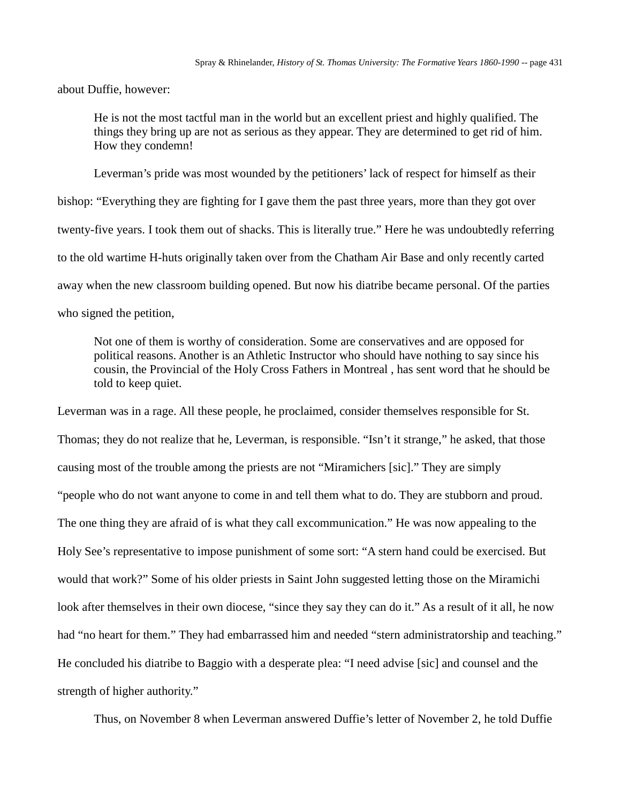about Duffie, however:

He is not the most tactful man in the world but an excellent priest and highly qualified. The things they bring up are not as serious as they appear. They are determined to get rid of him. How they condemn!

Leverman's pride was most wounded by the petitioners' lack of respect for himself as their bishop: "Everything they are fighting for I gave them the past three years, more than they got over twenty-five years. I took them out of shacks. This is literally true." Here he was undoubtedly referring to the old wartime H-huts originally taken over from the Chatham Air Base and only recently carted away when the new classroom building opened. But now his diatribe became personal. Of the parties who signed the petition,

Not one of them is worthy of consideration. Some are conservatives and are opposed for political reasons. Another is an Athletic Instructor who should have nothing to say since his cousin, the Provincial of the Holy Cross Fathers in Montreal , has sent word that he should be told to keep quiet.

Leverman was in a rage. All these people, he proclaimed, consider themselves responsible for St. Thomas; they do not realize that he, Leverman, is responsible. "Isn't it strange," he asked, that those causing most of the trouble among the priests are not "Miramichers [sic]." They are simply "people who do not want anyone to come in and tell them what to do. They are stubborn and proud. The one thing they are afraid of is what they call excommunication." He was now appealing to the Holy See's representative to impose punishment of some sort: "A stern hand could be exercised. But would that work?" Some of his older priests in Saint John suggested letting those on the Miramichi look after themselves in their own diocese, "since they say they can do it." As a result of it all, he now had "no heart for them." They had embarrassed him and needed "stern administratorship and teaching." He concluded his diatribe to Baggio with a desperate plea: "I need advise [sic] and counsel and the strength of higher authority."

Thus, on November 8 when Leverman answered Duffie's letter of November 2, he told Duffie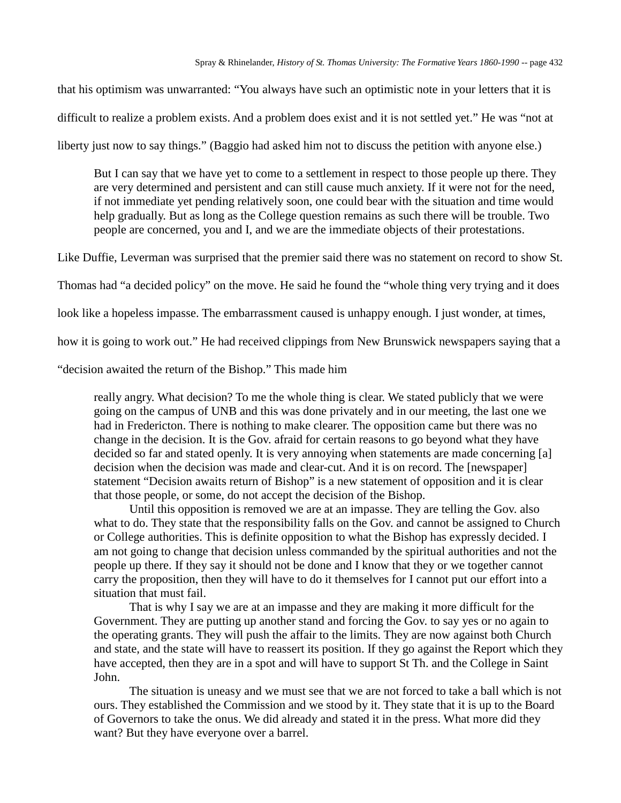that his optimism was unwarranted: "You always have such an optimistic note in your letters that it is

difficult to realize a problem exists. And a problem does exist and it is not settled yet." He was "not at

liberty just now to say things." (Baggio had asked him not to discuss the petition with anyone else.)

But I can say that we have yet to come to a settlement in respect to those people up there. They are very determined and persistent and can still cause much anxiety. If it were not for the need, if not immediate yet pending relatively soon, one could bear with the situation and time would help gradually. But as long as the College question remains as such there will be trouble. Two people are concerned, you and I, and we are the immediate objects of their protestations.

Like Duffie, Leverman was surprised that the premier said there was no statement on record to show St.

Thomas had "a decided policy" on the move. He said he found the "whole thing very trying and it does

look like a hopeless impasse. The embarrassment caused is unhappy enough. I just wonder, at times,

how it is going to work out." He had received clippings from New Brunswick newspapers saying that a

"decision awaited the return of the Bishop." This made him

really angry. What decision? To me the whole thing is clear. We stated publicly that we were going on the campus of UNB and this was done privately and in our meeting, the last one we had in Fredericton. There is nothing to make clearer. The opposition came but there was no change in the decision. It is the Gov. afraid for certain reasons to go beyond what they have decided so far and stated openly. It is very annoying when statements are made concerning [a] decision when the decision was made and clear-cut. And it is on record. The [newspaper] statement "Decision awaits return of Bishop" is a new statement of opposition and it is clear that those people, or some, do not accept the decision of the Bishop.

Until this opposition is removed we are at an impasse. They are telling the Gov. also what to do. They state that the responsibility falls on the Gov. and cannot be assigned to Church or College authorities. This is definite opposition to what the Bishop has expressly decided. I am not going to change that decision unless commanded by the spiritual authorities and not the people up there. If they say it should not be done and I know that they or we together cannot carry the proposition, then they will have to do it themselves for I cannot put our effort into a situation that must fail.

That is why I say we are at an impasse and they are making it more difficult for the Government. They are putting up another stand and forcing the Gov. to say yes or no again to the operating grants. They will push the affair to the limits. They are now against both Church and state, and the state will have to reassert its position. If they go against the Report which they have accepted, then they are in a spot and will have to support St Th. and the College in Saint John.

The situation is uneasy and we must see that we are not forced to take a ball which is not ours. They established the Commission and we stood by it. They state that it is up to the Board of Governors to take the onus. We did already and stated it in the press. What more did they want? But they have everyone over a barrel.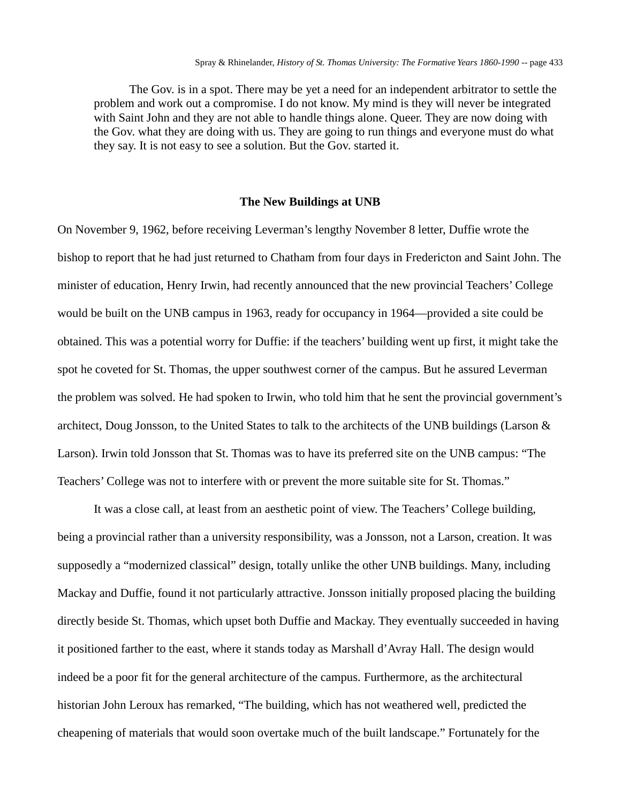The Gov. is in a spot. There may be yet a need for an independent arbitrator to settle the problem and work out a compromise. I do not know. My mind is they will never be integrated with Saint John and they are not able to handle things alone. Queer. They are now doing with the Gov. what they are doing with us. They are going to run things and everyone must do what they say. It is not easy to see a solution. But the Gov. started it.

#### **The New Buildings at UNB**

On November 9, 1962, before receiving Leverman's lengthy November 8 letter, Duffie wrote the bishop to report that he had just returned to Chatham from four days in Fredericton and Saint John. The minister of education, Henry Irwin, had recently announced that the new provincial Teachers' College would be built on the UNB campus in 1963, ready for occupancy in 1964—provided a site could be obtained. This was a potential worry for Duffie: if the teachers' building went up first, it might take the spot he coveted for St. Thomas, the upper southwest corner of the campus. But he assured Leverman the problem was solved. He had spoken to Irwin, who told him that he sent the provincial government's architect, Doug Jonsson, to the United States to talk to the architects of the UNB buildings (Larson & Larson). Irwin told Jonsson that St. Thomas was to have its preferred site on the UNB campus: "The Teachers' College was not to interfere with or prevent the more suitable site for St. Thomas."

It was a close call, at least from an aesthetic point of view. The Teachers' College building, being a provincial rather than a university responsibility, was a Jonsson, not a Larson, creation. It was supposedly a "modernized classical" design, totally unlike the other UNB buildings. Many, including Mackay and Duffie, found it not particularly attractive. Jonsson initially proposed placing the building directly beside St. Thomas, which upset both Duffie and Mackay. They eventually succeeded in having it positioned farther to the east, where it stands today as Marshall d'Avray Hall. The design would indeed be a poor fit for the general architecture of the campus. Furthermore, as the architectural historian John Leroux has remarked, "The building, which has not weathered well, predicted the cheapening of materials that would soon overtake much of the built landscape." Fortunately for the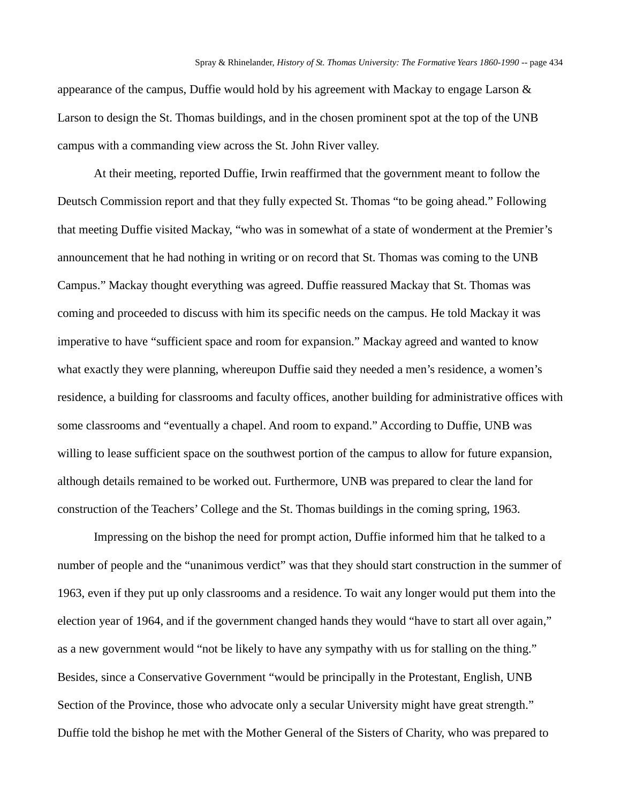appearance of the campus, Duffie would hold by his agreement with Mackay to engage Larson  $\&$ Larson to design the St. Thomas buildings, and in the chosen prominent spot at the top of the UNB campus with a commanding view across the St. John River valley.

At their meeting, reported Duffie, Irwin reaffirmed that the government meant to follow the Deutsch Commission report and that they fully expected St. Thomas "to be going ahead." Following that meeting Duffie visited Mackay, "who was in somewhat of a state of wonderment at the Premier's announcement that he had nothing in writing or on record that St. Thomas was coming to the UNB Campus." Mackay thought everything was agreed. Duffie reassured Mackay that St. Thomas was coming and proceeded to discuss with him its specific needs on the campus. He told Mackay it was imperative to have "sufficient space and room for expansion." Mackay agreed and wanted to know what exactly they were planning, whereupon Duffie said they needed a men's residence, a women's residence, a building for classrooms and faculty offices, another building for administrative offices with some classrooms and "eventually a chapel. And room to expand." According to Duffie, UNB was willing to lease sufficient space on the southwest portion of the campus to allow for future expansion, although details remained to be worked out. Furthermore, UNB was prepared to clear the land for construction of the Teachers' College and the St. Thomas buildings in the coming spring, 1963.

Impressing on the bishop the need for prompt action, Duffie informed him that he talked to a number of people and the "unanimous verdict" was that they should start construction in the summer of 1963, even if they put up only classrooms and a residence. To wait any longer would put them into the election year of 1964, and if the government changed hands they would "have to start all over again," as a new government would "not be likely to have any sympathy with us for stalling on the thing." Besides, since a Conservative Government "would be principally in the Protestant, English, UNB Section of the Province, those who advocate only a secular University might have great strength." Duffie told the bishop he met with the Mother General of the Sisters of Charity, who was prepared to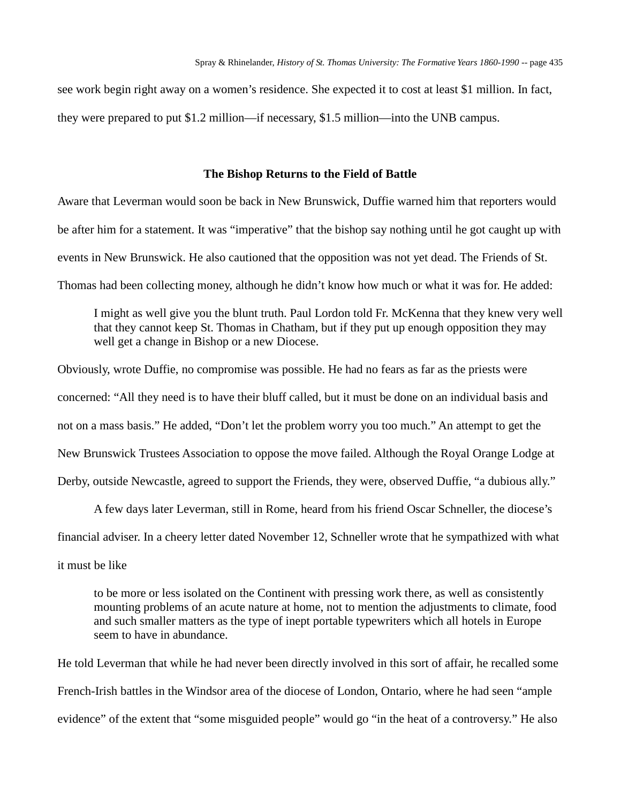see work begin right away on a women's residence. She expected it to cost at least \$1 million. In fact, they were prepared to put \$1.2 million—if necessary, \$1.5 million—into the UNB campus.

### **The Bishop Returns to the Field of Battle**

Aware that Leverman would soon be back in New Brunswick, Duffie warned him that reporters would be after him for a statement. It was "imperative" that the bishop say nothing until he got caught up with events in New Brunswick. He also cautioned that the opposition was not yet dead. The Friends of St. Thomas had been collecting money, although he didn't know how much or what it was for. He added:

I might as well give you the blunt truth. Paul Lordon told Fr. McKenna that they knew very well that they cannot keep St. Thomas in Chatham, but if they put up enough opposition they may well get a change in Bishop or a new Diocese.

Obviously, wrote Duffie, no compromise was possible. He had no fears as far as the priests were concerned: "All they need is to have their bluff called, but it must be done on an individual basis and not on a mass basis." He added, "Don't let the problem worry you too much." An attempt to get the New Brunswick Trustees Association to oppose the move failed. Although the Royal Orange Lodge at Derby, outside Newcastle, agreed to support the Friends, they were, observed Duffie, "a dubious ally."

A few days later Leverman, still in Rome, heard from his friend Oscar Schneller, the diocese's financial adviser. In a cheery letter dated November 12, Schneller wrote that he sympathized with what it must be like

to be more or less isolated on the Continent with pressing work there, as well as consistently mounting problems of an acute nature at home, not to mention the adjustments to climate, food and such smaller matters as the type of inept portable typewriters which all hotels in Europe seem to have in abundance.

He told Leverman that while he had never been directly involved in this sort of affair, he recalled some French-Irish battles in the Windsor area of the diocese of London, Ontario, where he had seen "ample evidence" of the extent that "some misguided people" would go "in the heat of a controversy." He also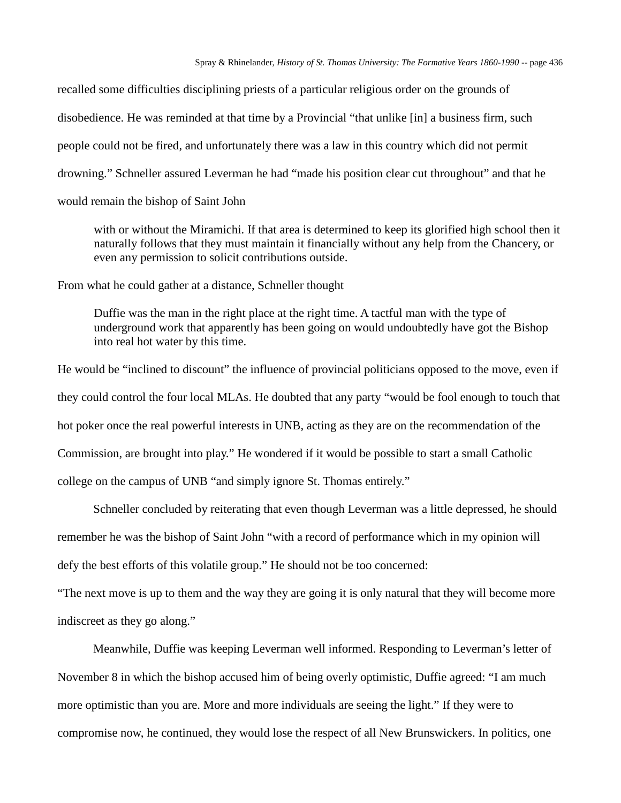recalled some difficulties disciplining priests of a particular religious order on the grounds of disobedience. He was reminded at that time by a Provincial "that unlike [in] a business firm, such people could not be fired, and unfortunately there was a law in this country which did not permit drowning." Schneller assured Leverman he had "made his position clear cut throughout" and that he would remain the bishop of Saint John

with or without the Miramichi. If that area is determined to keep its glorified high school then it naturally follows that they must maintain it financially without any help from the Chancery, or even any permission to solicit contributions outside.

From what he could gather at a distance, Schneller thought

Duffie was the man in the right place at the right time. A tactful man with the type of underground work that apparently has been going on would undoubtedly have got the Bishop into real hot water by this time.

He would be "inclined to discount" the influence of provincial politicians opposed to the move, even if they could control the four local MLAs. He doubted that any party "would be fool enough to touch that hot poker once the real powerful interests in UNB, acting as they are on the recommendation of the Commission, are brought into play." He wondered if it would be possible to start a small Catholic college on the campus of UNB "and simply ignore St. Thomas entirely."

Schneller concluded by reiterating that even though Leverman was a little depressed, he should remember he was the bishop of Saint John "with a record of performance which in my opinion will defy the best efforts of this volatile group." He should not be too concerned:

"The next move is up to them and the way they are going it is only natural that they will become more indiscreet as they go along."

Meanwhile, Duffie was keeping Leverman well informed. Responding to Leverman's letter of November 8 in which the bishop accused him of being overly optimistic, Duffie agreed: "I am much more optimistic than you are. More and more individuals are seeing the light." If they were to compromise now, he continued, they would lose the respect of all New Brunswickers. In politics, one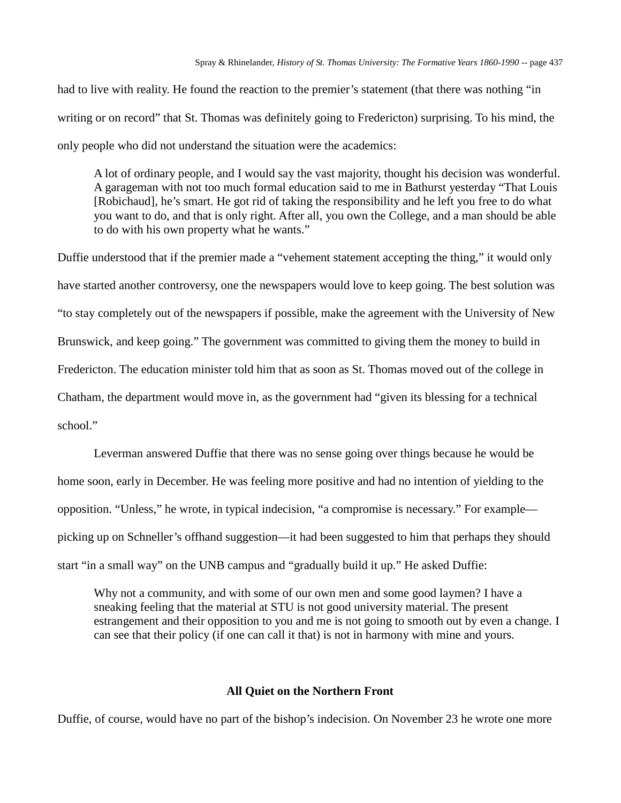had to live with reality. He found the reaction to the premier's statement (that there was nothing "in writing or on record" that St. Thomas was definitely going to Fredericton) surprising. To his mind, the only people who did not understand the situation were the academics:

A lot of ordinary people, and I would say the vast majority, thought his decision was wonderful. A garageman with not too much formal education said to me in Bathurst yesterday "That Louis [Robichaud], he's smart. He got rid of taking the responsibility and he left you free to do what you want to do, and that is only right. After all, you own the College, and a man should be able to do with his own property what he wants."

Duffie understood that if the premier made a "vehement statement accepting the thing," it would only have started another controversy, one the newspapers would love to keep going. The best solution was "to stay completely out of the newspapers if possible, make the agreement with the University of New Brunswick, and keep going." The government was committed to giving them the money to build in Fredericton. The education minister told him that as soon as St. Thomas moved out of the college in Chatham, the department would move in, as the government had "given its blessing for a technical school."

Leverman answered Duffie that there was no sense going over things because he would be home soon, early in December. He was feeling more positive and had no intention of yielding to the opposition. "Unless," he wrote, in typical indecision, "a compromise is necessary." For example picking up on Schneller's offhand suggestion—it had been suggested to him that perhaps they should start "in a small way" on the UNB campus and "gradually build it up." He asked Duffie:

Why not a community, and with some of our own men and some good laymen? I have a sneaking feeling that the material at STU is not good university material. The present estrangement and their opposition to you and me is not going to smooth out by even a change. I can see that their policy (if one can call it that) is not in harmony with mine and yours.

# **All Quiet on the Northern Front**

Duffie, of course, would have no part of the bishop's indecision. On November 23 he wrote one more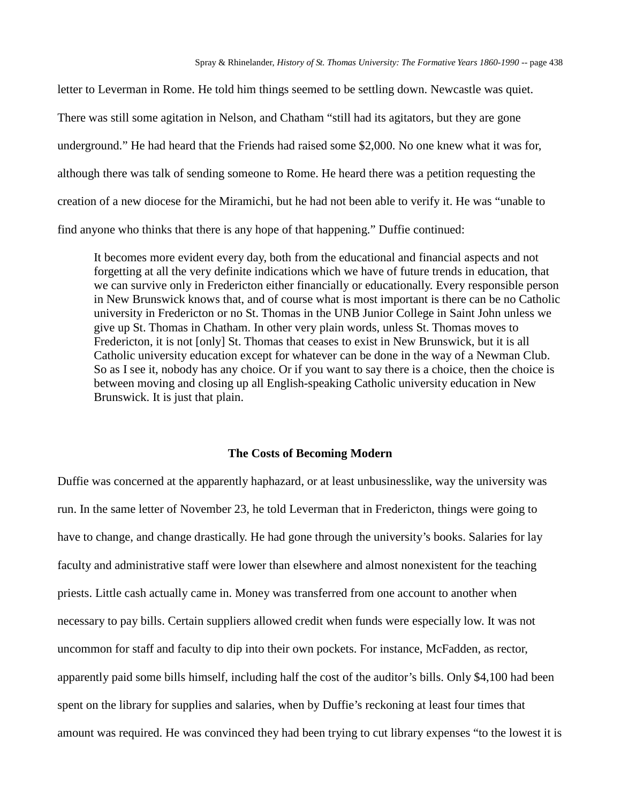letter to Leverman in Rome. He told him things seemed to be settling down. Newcastle was quiet. There was still some agitation in Nelson, and Chatham "still had its agitators, but they are gone underground." He had heard that the Friends had raised some \$2,000. No one knew what it was for, although there was talk of sending someone to Rome. He heard there was a petition requesting the creation of a new diocese for the Miramichi, but he had not been able to verify it. He was "unable to find anyone who thinks that there is any hope of that happening." Duffie continued:

It becomes more evident every day, both from the educational and financial aspects and not forgetting at all the very definite indications which we have of future trends in education, that we can survive only in Fredericton either financially or educationally. Every responsible person in New Brunswick knows that, and of course what is most important is there can be no Catholic university in Fredericton or no St. Thomas in the UNB Junior College in Saint John unless we give up St. Thomas in Chatham. In other very plain words, unless St. Thomas moves to Fredericton, it is not [only] St. Thomas that ceases to exist in New Brunswick, but it is all Catholic university education except for whatever can be done in the way of a Newman Club. So as I see it, nobody has any choice. Or if you want to say there is a choice, then the choice is between moving and closing up all English-speaking Catholic university education in New Brunswick. It is just that plain.

#### **The Costs of Becoming Modern**

Duffie was concerned at the apparently haphazard, or at least unbusinesslike, way the university was run. In the same letter of November 23, he told Leverman that in Fredericton, things were going to have to change, and change drastically. He had gone through the university's books. Salaries for lay faculty and administrative staff were lower than elsewhere and almost nonexistent for the teaching priests. Little cash actually came in. Money was transferred from one account to another when necessary to pay bills. Certain suppliers allowed credit when funds were especially low. It was not uncommon for staff and faculty to dip into their own pockets. For instance, McFadden, as rector, apparently paid some bills himself, including half the cost of the auditor's bills. Only \$4,100 had been spent on the library for supplies and salaries, when by Duffie's reckoning at least four times that amount was required. He was convinced they had been trying to cut library expenses "to the lowest it is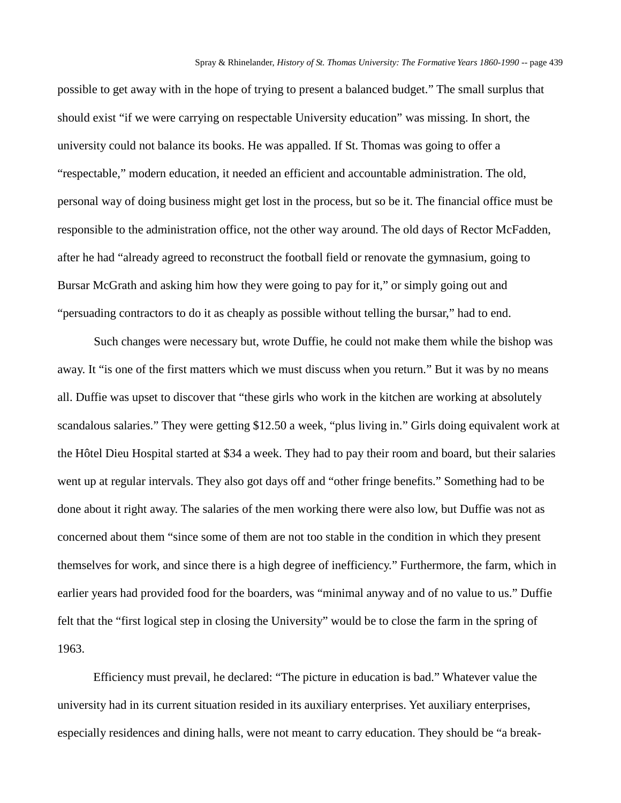possible to get away with in the hope of trying to present a balanced budget." The small surplus that should exist "if we were carrying on respectable University education" was missing. In short, the university could not balance its books. He was appalled. If St. Thomas was going to offer a "respectable," modern education, it needed an efficient and accountable administration. The old, personal way of doing business might get lost in the process, but so be it. The financial office must be responsible to the administration office, not the other way around. The old days of Rector McFadden, after he had "already agreed to reconstruct the football field or renovate the gymnasium, going to Bursar McGrath and asking him how they were going to pay for it," or simply going out and "persuading contractors to do it as cheaply as possible without telling the bursar," had to end.

Such changes were necessary but, wrote Duffie, he could not make them while the bishop was away. It "is one of the first matters which we must discuss when you return." But it was by no means all. Duffie was upset to discover that "these girls who work in the kitchen are working at absolutely scandalous salaries." They were getting \$12.50 a week, "plus living in." Girls doing equivalent work at the Hôtel Dieu Hospital started at \$34 a week. They had to pay their room and board, but their salaries went up at regular intervals. They also got days off and "other fringe benefits." Something had to be done about it right away. The salaries of the men working there were also low, but Duffie was not as concerned about them "since some of them are not too stable in the condition in which they present themselves for work, and since there is a high degree of inefficiency." Furthermore, the farm, which in earlier years had provided food for the boarders, was "minimal anyway and of no value to us." Duffie felt that the "first logical step in closing the University" would be to close the farm in the spring of 1963.

Efficiency must prevail, he declared: "The picture in education is bad." Whatever value the university had in its current situation resided in its auxiliary enterprises. Yet auxiliary enterprises, especially residences and dining halls, were not meant to carry education. They should be "a break-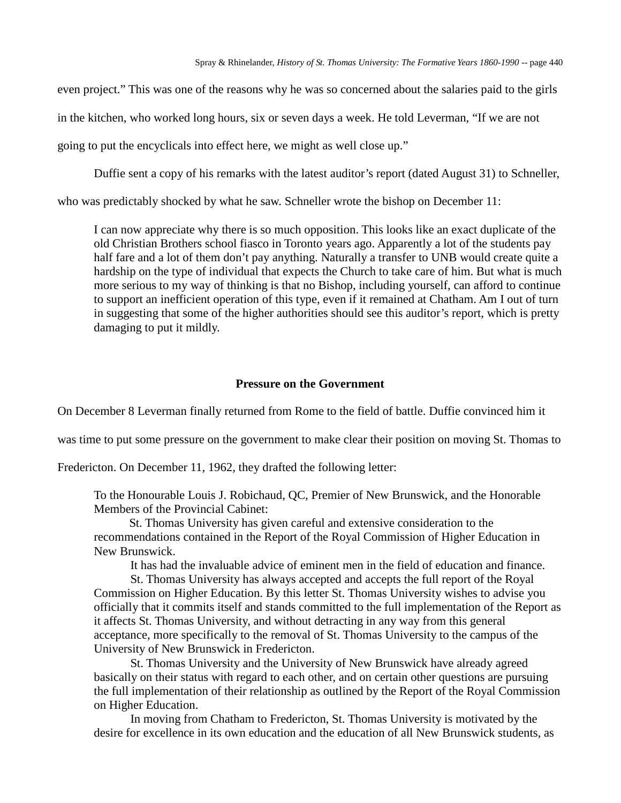even project." This was one of the reasons why he was so concerned about the salaries paid to the girls in the kitchen, who worked long hours, six or seven days a week. He told Leverman, "If we are not going to put the encyclicals into effect here, we might as well close up."

Duffie sent a copy of his remarks with the latest auditor's report (dated August 31) to Schneller,

who was predictably shocked by what he saw. Schneller wrote the bishop on December 11:

I can now appreciate why there is so much opposition. This looks like an exact duplicate of the old Christian Brothers school fiasco in Toronto years ago. Apparently a lot of the students pay half fare and a lot of them don't pay anything. Naturally a transfer to UNB would create quite a hardship on the type of individual that expects the Church to take care of him. But what is much more serious to my way of thinking is that no Bishop, including yourself, can afford to continue to support an inefficient operation of this type, even if it remained at Chatham. Am I out of turn in suggesting that some of the higher authorities should see this auditor's report, which is pretty damaging to put it mildly.

# **Pressure on the Government**

On December 8 Leverman finally returned from Rome to the field of battle. Duffie convinced him it

was time to put some pressure on the government to make clear their position on moving St. Thomas to

Fredericton. On December 11, 1962, they drafted the following letter:

To the Honourable Louis J. Robichaud, QC, Premier of New Brunswick, and the Honorable Members of the Provincial Cabinet:

St. Thomas University has given careful and extensive consideration to the recommendations contained in the Report of the Royal Commission of Higher Education in New Brunswick.

It has had the invaluable advice of eminent men in the field of education and finance.

St. Thomas University has always accepted and accepts the full report of the Royal Commission on Higher Education. By this letter St. Thomas University wishes to advise you officially that it commits itself and stands committed to the full implementation of the Report as it affects St. Thomas University, and without detracting in any way from this general acceptance, more specifically to the removal of St. Thomas University to the campus of the University of New Brunswick in Fredericton.

St. Thomas University and the University of New Brunswick have already agreed basically on their status with regard to each other, and on certain other questions are pursuing the full implementation of their relationship as outlined by the Report of the Royal Commission on Higher Education.

In moving from Chatham to Fredericton, St. Thomas University is motivated by the desire for excellence in its own education and the education of all New Brunswick students, as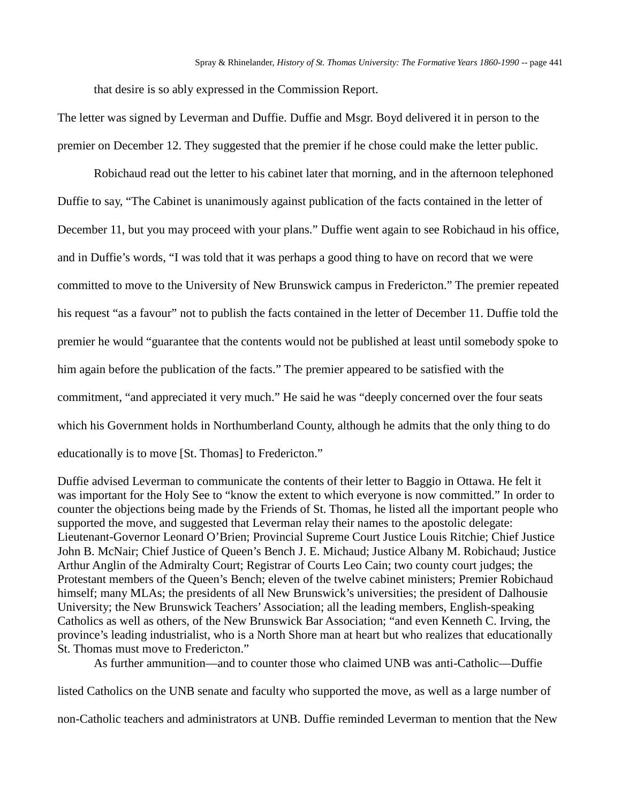that desire is so ably expressed in the Commission Report.

The letter was signed by Leverman and Duffie. Duffie and Msgr. Boyd delivered it in person to the premier on December 12. They suggested that the premier if he chose could make the letter public.

Robichaud read out the letter to his cabinet later that morning, and in the afternoon telephoned Duffie to say, "The Cabinet is unanimously against publication of the facts contained in the letter of December 11, but you may proceed with your plans." Duffie went again to see Robichaud in his office, and in Duffie's words, "I was told that it was perhaps a good thing to have on record that we were committed to move to the University of New Brunswick campus in Fredericton." The premier repeated his request "as a favour" not to publish the facts contained in the letter of December 11. Duffie told the premier he would "guarantee that the contents would not be published at least until somebody spoke to him again before the publication of the facts." The premier appeared to be satisfied with the commitment, "and appreciated it very much." He said he was "deeply concerned over the four seats which his Government holds in Northumberland County, although he admits that the only thing to do educationally is to move [St. Thomas] to Fredericton."

Duffie advised Leverman to communicate the contents of their letter to Baggio in Ottawa. He felt it was important for the Holy See to "know the extent to which everyone is now committed." In order to counter the objections being made by the Friends of St. Thomas, he listed all the important people who supported the move, and suggested that Leverman relay their names to the apostolic delegate: Lieutenant-Governor Leonard O'Brien; Provincial Supreme Court Justice Louis Ritchie; Chief Justice John B. McNair; Chief Justice of Queen's Bench J. E. Michaud; Justice Albany M. Robichaud; Justice Arthur Anglin of the Admiralty Court; Registrar of Courts Leo Cain; two county court judges; the Protestant members of the Queen's Bench; eleven of the twelve cabinet ministers; Premier Robichaud himself; many MLAs; the presidents of all New Brunswick's universities; the president of Dalhousie University; the New Brunswick Teachers' Association; all the leading members, English-speaking Catholics as well as others, of the New Brunswick Bar Association; "and even Kenneth C. Irving, the province's leading industrialist, who is a North Shore man at heart but who realizes that educationally St. Thomas must move to Fredericton."

As further ammunition—and to counter those who claimed UNB was anti-Catholic—Duffie

listed Catholics on the UNB senate and faculty who supported the move, as well as a large number of

non-Catholic teachers and administrators at UNB. Duffie reminded Leverman to mention that the New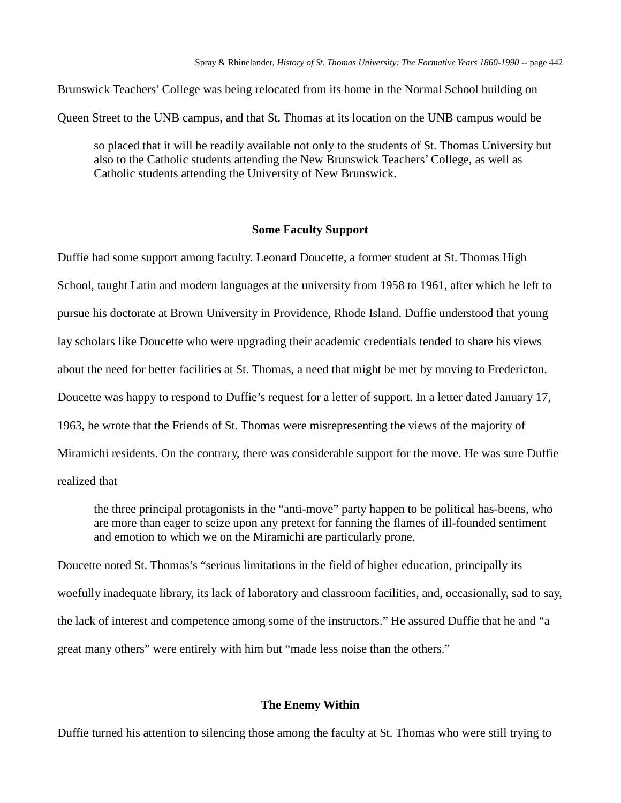Brunswick Teachers' College was being relocated from its home in the Normal School building on

Queen Street to the UNB campus, and that St. Thomas at its location on the UNB campus would be

so placed that it will be readily available not only to the students of St. Thomas University but also to the Catholic students attending the New Brunswick Teachers' College, as well as Catholic students attending the University of New Brunswick.

## **Some Faculty Support**

Duffie had some support among faculty. Leonard Doucette, a former student at St. Thomas High School, taught Latin and modern languages at the university from 1958 to 1961, after which he left to pursue his doctorate at Brown University in Providence, Rhode Island. Duffie understood that young lay scholars like Doucette who were upgrading their academic credentials tended to share his views about the need for better facilities at St. Thomas, a need that might be met by moving to Fredericton. Doucette was happy to respond to Duffie's request for a letter of support. In a letter dated January 17, 1963, he wrote that the Friends of St. Thomas were misrepresenting the views of the majority of Miramichi residents. On the contrary, there was considerable support for the move. He was sure Duffie realized that

the three principal protagonists in the "anti-move" party happen to be political has-beens, who are more than eager to seize upon any pretext for fanning the flames of ill-founded sentiment and emotion to which we on the Miramichi are particularly prone.

Doucette noted St. Thomas's "serious limitations in the field of higher education, principally its woefully inadequate library, its lack of laboratory and classroom facilities, and, occasionally, sad to say, the lack of interest and competence among some of the instructors." He assured Duffie that he and "a great many others" were entirely with him but "made less noise than the others."

#### **The Enemy Within**

Duffie turned his attention to silencing those among the faculty at St. Thomas who were still trying to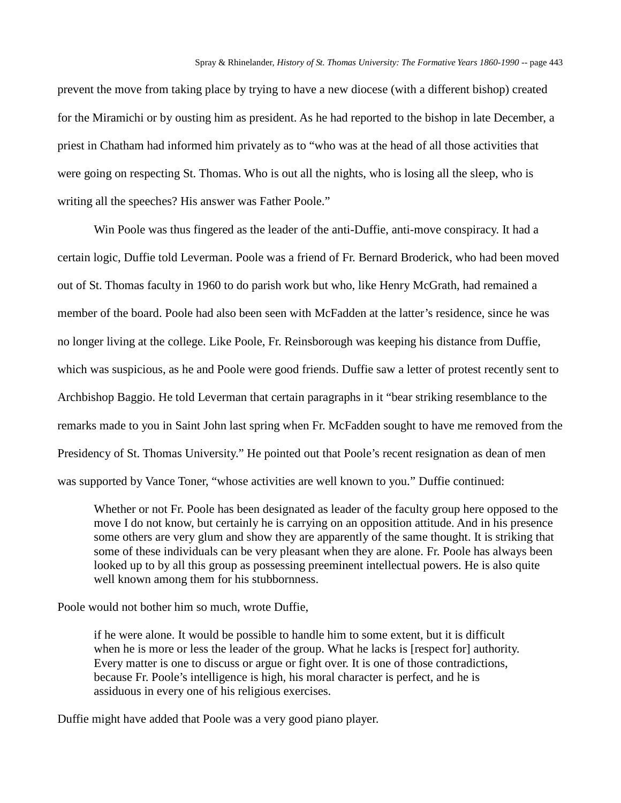prevent the move from taking place by trying to have a new diocese (with a different bishop) created for the Miramichi or by ousting him as president. As he had reported to the bishop in late December, a priest in Chatham had informed him privately as to "who was at the head of all those activities that were going on respecting St. Thomas. Who is out all the nights, who is losing all the sleep, who is writing all the speeches? His answer was Father Poole."

Win Poole was thus fingered as the leader of the anti-Duffie, anti-move conspiracy. It had a certain logic, Duffie told Leverman. Poole was a friend of Fr. Bernard Broderick, who had been moved out of St. Thomas faculty in 1960 to do parish work but who, like Henry McGrath, had remained a member of the board. Poole had also been seen with McFadden at the latter's residence, since he was no longer living at the college. Like Poole, Fr. Reinsborough was keeping his distance from Duffie, which was suspicious, as he and Poole were good friends. Duffie saw a letter of protest recently sent to Archbishop Baggio. He told Leverman that certain paragraphs in it "bear striking resemblance to the remarks made to you in Saint John last spring when Fr. McFadden sought to have me removed from the Presidency of St. Thomas University." He pointed out that Poole's recent resignation as dean of men was supported by Vance Toner, "whose activities are well known to you." Duffie continued:

Whether or not Fr. Poole has been designated as leader of the faculty group here opposed to the move I do not know, but certainly he is carrying on an opposition attitude. And in his presence some others are very glum and show they are apparently of the same thought. It is striking that some of these individuals can be very pleasant when they are alone. Fr. Poole has always been looked up to by all this group as possessing preeminent intellectual powers. He is also quite well known among them for his stubbornness.

Poole would not bother him so much, wrote Duffie,

if he were alone. It would be possible to handle him to some extent, but it is difficult when he is more or less the leader of the group. What he lacks is [respect for] authority. Every matter is one to discuss or argue or fight over. It is one of those contradictions, because Fr. Poole's intelligence is high, his moral character is perfect, and he is assiduous in every one of his religious exercises.

Duffie might have added that Poole was a very good piano player.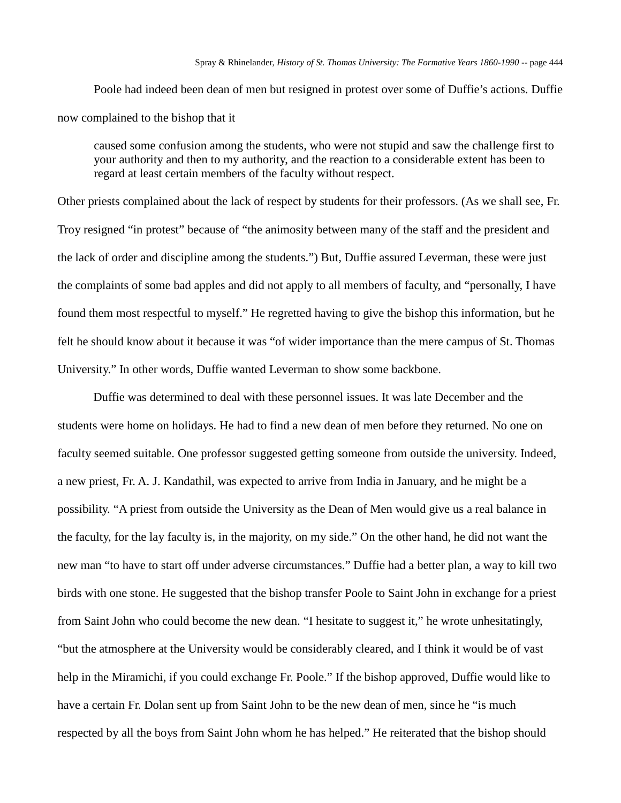Poole had indeed been dean of men but resigned in protest over some of Duffie's actions. Duffie now complained to the bishop that it

caused some confusion among the students, who were not stupid and saw the challenge first to your authority and then to my authority, and the reaction to a considerable extent has been to regard at least certain members of the faculty without respect.

Other priests complained about the lack of respect by students for their professors. (As we shall see, Fr. Troy resigned "in protest" because of "the animosity between many of the staff and the president and the lack of order and discipline among the students.") But, Duffie assured Leverman, these were just the complaints of some bad apples and did not apply to all members of faculty, and "personally, I have found them most respectful to myself." He regretted having to give the bishop this information, but he felt he should know about it because it was "of wider importance than the mere campus of St. Thomas University." In other words, Duffie wanted Leverman to show some backbone.

Duffie was determined to deal with these personnel issues. It was late December and the students were home on holidays. He had to find a new dean of men before they returned. No one on faculty seemed suitable. One professor suggested getting someone from outside the university. Indeed, a new priest, Fr. A. J. Kandathil, was expected to arrive from India in January, and he might be a possibility. "A priest from outside the University as the Dean of Men would give us a real balance in the faculty, for the lay faculty is, in the majority, on my side." On the other hand, he did not want the new man "to have to start off under adverse circumstances." Duffie had a better plan, a way to kill two birds with one stone. He suggested that the bishop transfer Poole to Saint John in exchange for a priest from Saint John who could become the new dean. "I hesitate to suggest it," he wrote unhesitatingly, "but the atmosphere at the University would be considerably cleared, and I think it would be of vast help in the Miramichi, if you could exchange Fr. Poole." If the bishop approved, Duffie would like to have a certain Fr. Dolan sent up from Saint John to be the new dean of men, since he "is much respected by all the boys from Saint John whom he has helped." He reiterated that the bishop should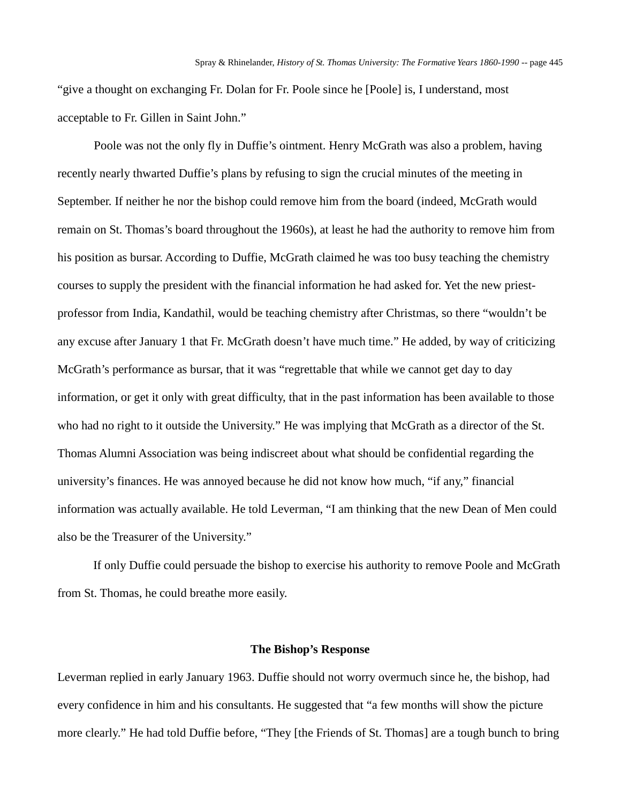"give a thought on exchanging Fr. Dolan for Fr. Poole since he [Poole] is, I understand, most acceptable to Fr. Gillen in Saint John."

Poole was not the only fly in Duffie's ointment. Henry McGrath was also a problem, having recently nearly thwarted Duffie's plans by refusing to sign the crucial minutes of the meeting in September. If neither he nor the bishop could remove him from the board (indeed, McGrath would remain on St. Thomas's board throughout the 1960s), at least he had the authority to remove him from his position as bursar. According to Duffie, McGrath claimed he was too busy teaching the chemistry courses to supply the president with the financial information he had asked for. Yet the new priestprofessor from India, Kandathil, would be teaching chemistry after Christmas, so there "wouldn't be any excuse after January 1 that Fr. McGrath doesn't have much time." He added, by way of criticizing McGrath's performance as bursar, that it was "regrettable that while we cannot get day to day information, or get it only with great difficulty, that in the past information has been available to those who had no right to it outside the University." He was implying that McGrath as a director of the St. Thomas Alumni Association was being indiscreet about what should be confidential regarding the university's finances. He was annoyed because he did not know how much, "if any," financial information was actually available. He told Leverman, "I am thinking that the new Dean of Men could also be the Treasurer of the University."

If only Duffie could persuade the bishop to exercise his authority to remove Poole and McGrath from St. Thomas, he could breathe more easily.

### **The Bishop's Response**

Leverman replied in early January 1963. Duffie should not worry overmuch since he, the bishop, had every confidence in him and his consultants. He suggested that "a few months will show the picture more clearly." He had told Duffie before, "They [the Friends of St. Thomas] are a tough bunch to bring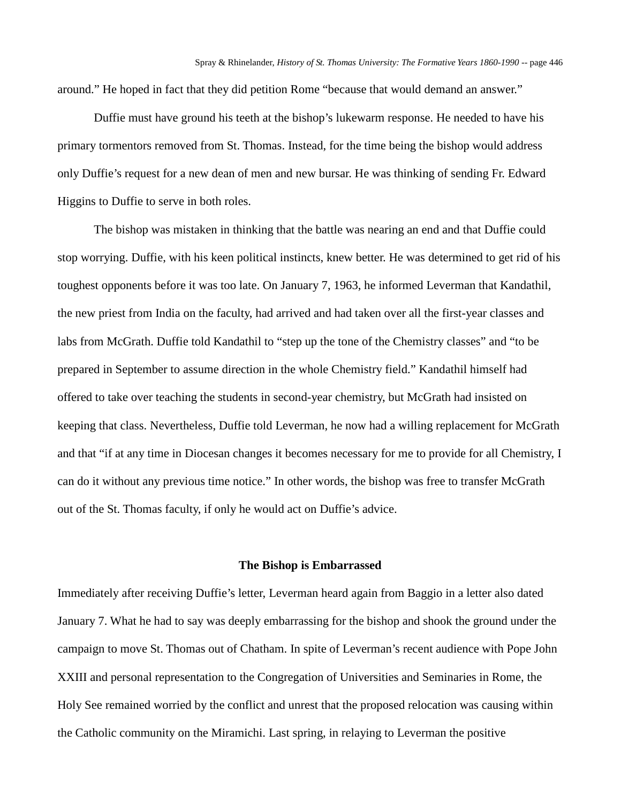around." He hoped in fact that they did petition Rome "because that would demand an answer."

Duffie must have ground his teeth at the bishop's lukewarm response. He needed to have his primary tormentors removed from St. Thomas. Instead, for the time being the bishop would address only Duffie's request for a new dean of men and new bursar. He was thinking of sending Fr. Edward Higgins to Duffie to serve in both roles.

The bishop was mistaken in thinking that the battle was nearing an end and that Duffie could stop worrying. Duffie, with his keen political instincts, knew better. He was determined to get rid of his toughest opponents before it was too late. On January 7, 1963, he informed Leverman that Kandathil, the new priest from India on the faculty, had arrived and had taken over all the first-year classes and labs from McGrath. Duffie told Kandathil to "step up the tone of the Chemistry classes" and "to be prepared in September to assume direction in the whole Chemistry field." Kandathil himself had offered to take over teaching the students in second-year chemistry, but McGrath had insisted on keeping that class. Nevertheless, Duffie told Leverman, he now had a willing replacement for McGrath and that "if at any time in Diocesan changes it becomes necessary for me to provide for all Chemistry, I can do it without any previous time notice." In other words, the bishop was free to transfer McGrath out of the St. Thomas faculty, if only he would act on Duffie's advice.

# **The Bishop is Embarrassed**

Immediately after receiving Duffie's letter, Leverman heard again from Baggio in a letter also dated January 7. What he had to say was deeply embarrassing for the bishop and shook the ground under the campaign to move St. Thomas out of Chatham. In spite of Leverman's recent audience with Pope John XXIII and personal representation to the Congregation of Universities and Seminaries in Rome, the Holy See remained worried by the conflict and unrest that the proposed relocation was causing within the Catholic community on the Miramichi. Last spring, in relaying to Leverman the positive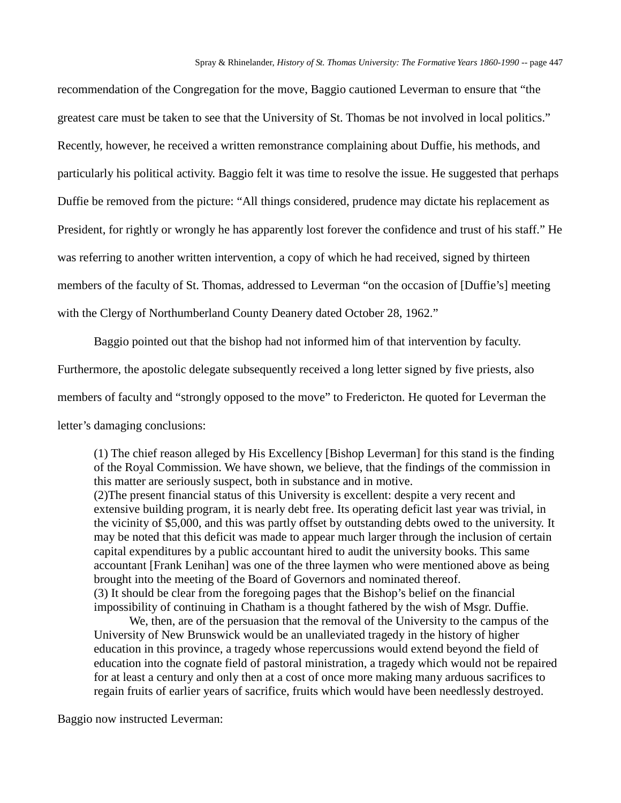recommendation of the Congregation for the move, Baggio cautioned Leverman to ensure that "the greatest care must be taken to see that the University of St. Thomas be not involved in local politics." Recently, however, he received a written remonstrance complaining about Duffie, his methods, and particularly his political activity. Baggio felt it was time to resolve the issue. He suggested that perhaps Duffie be removed from the picture: "All things considered, prudence may dictate his replacement as President, for rightly or wrongly he has apparently lost forever the confidence and trust of his staff." He was referring to another written intervention, a copy of which he had received, signed by thirteen members of the faculty of St. Thomas, addressed to Leverman "on the occasion of [Duffie's] meeting with the Clergy of Northumberland County Deanery dated October 28, 1962."

Baggio pointed out that the bishop had not informed him of that intervention by faculty. Furthermore, the apostolic delegate subsequently received a long letter signed by five priests, also members of faculty and "strongly opposed to the move" to Fredericton. He quoted for Leverman the letter's damaging conclusions:

(1) The chief reason alleged by His Excellency [Bishop Leverman] for this stand is the finding of the Royal Commission. We have shown, we believe, that the findings of the commission in this matter are seriously suspect, both in substance and in motive.

(2)The present financial status of this University is excellent: despite a very recent and extensive building program, it is nearly debt free. Its operating deficit last year was trivial, in the vicinity of \$5,000, and this was partly offset by outstanding debts owed to the university. It may be noted that this deficit was made to appear much larger through the inclusion of certain capital expenditures by a public accountant hired to audit the university books. This same accountant [Frank Lenihan] was one of the three laymen who were mentioned above as being brought into the meeting of the Board of Governors and nominated thereof. (3) It should be clear from the foregoing pages that the Bishop's belief on the financial impossibility of continuing in Chatham is a thought fathered by the wish of Msgr. Duffie.

We, then, are of the persuasion that the removal of the University to the campus of the University of New Brunswick would be an unalleviated tragedy in the history of higher education in this province, a tragedy whose repercussions would extend beyond the field of education into the cognate field of pastoral ministration, a tragedy which would not be repaired for at least a century and only then at a cost of once more making many arduous sacrifices to regain fruits of earlier years of sacrifice, fruits which would have been needlessly destroyed.

Baggio now instructed Leverman: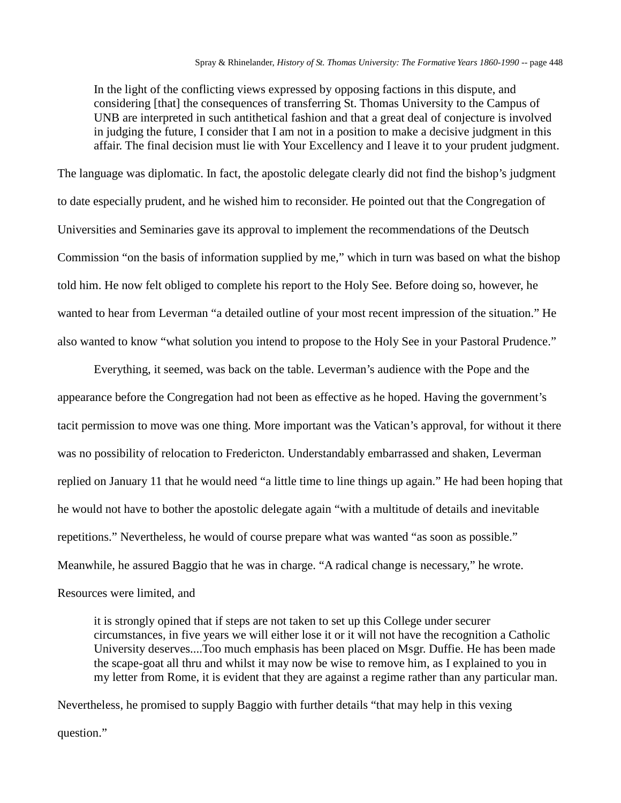In the light of the conflicting views expressed by opposing factions in this dispute, and considering [that] the consequences of transferring St. Thomas University to the Campus of UNB are interpreted in such antithetical fashion and that a great deal of conjecture is involved in judging the future, I consider that I am not in a position to make a decisive judgment in this affair. The final decision must lie with Your Excellency and I leave it to your prudent judgment.

The language was diplomatic. In fact, the apostolic delegate clearly did not find the bishop's judgment to date especially prudent, and he wished him to reconsider. He pointed out that the Congregation of Universities and Seminaries gave its approval to implement the recommendations of the Deutsch Commission "on the basis of information supplied by me," which in turn was based on what the bishop told him. He now felt obliged to complete his report to the Holy See. Before doing so, however, he wanted to hear from Leverman "a detailed outline of your most recent impression of the situation." He also wanted to know "what solution you intend to propose to the Holy See in your Pastoral Prudence."

Everything, it seemed, was back on the table. Leverman's audience with the Pope and the appearance before the Congregation had not been as effective as he hoped. Having the government's tacit permission to move was one thing. More important was the Vatican's approval, for without it there was no possibility of relocation to Fredericton. Understandably embarrassed and shaken, Leverman replied on January 11 that he would need "a little time to line things up again." He had been hoping that he would not have to bother the apostolic delegate again "with a multitude of details and inevitable repetitions." Nevertheless, he would of course prepare what was wanted "as soon as possible." Meanwhile, he assured Baggio that he was in charge. "A radical change is necessary," he wrote. Resources were limited, and

it is strongly opined that if steps are not taken to set up this College under securer circumstances, in five years we will either lose it or it will not have the recognition a Catholic University deserves....Too much emphasis has been placed on Msgr. Duffie. He has been made the scape-goat all thru and whilst it may now be wise to remove him, as I explained to you in my letter from Rome, it is evident that they are against a regime rather than any particular man.

Nevertheless, he promised to supply Baggio with further details "that may help in this vexing question."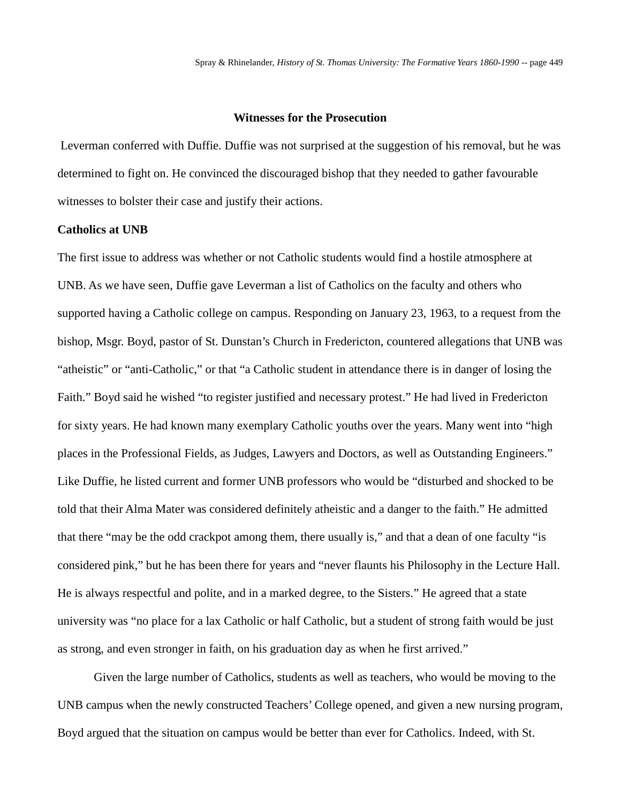# **Witnesses for the Prosecution**

Leverman conferred with Duffie. Duffie was not surprised at the suggestion of his removal, but he was determined to fight on. He convinced the discouraged bishop that they needed to gather favourable witnesses to bolster their case and justify their actions.

# **Catholics at UNB**

The first issue to address was whether or not Catholic students would find a hostile atmosphere at UNB. As we have seen, Duffie gave Leverman a list of Catholics on the faculty and others who supported having a Catholic college on campus. Responding on January 23, 1963, to a request from the bishop, Msgr. Boyd, pastor of St. Dunstan's Church in Fredericton, countered allegations that UNB was "atheistic" or "anti-Catholic," or that "a Catholic student in attendance there is in danger of losing the Faith." Boyd said he wished "to register justified and necessary protest." He had lived in Fredericton for sixty years. He had known many exemplary Catholic youths over the years. Many went into "high places in the Professional Fields, as Judges, Lawyers and Doctors, as well as Outstanding Engineers." Like Duffie, he listed current and former UNB professors who would be "disturbed and shocked to be told that their Alma Mater was considered definitely atheistic and a danger to the faith." He admitted that there "may be the odd crackpot among them, there usually is," and that a dean of one faculty "is considered pink," but he has been there for years and "never flaunts his Philosophy in the Lecture Hall. He is always respectful and polite, and in a marked degree, to the Sisters." He agreed that a state university was "no place for a lax Catholic or half Catholic, but a student of strong faith would be just as strong, and even stronger in faith, on his graduation day as when he first arrived."

Given the large number of Catholics, students as well as teachers, who would be moving to the UNB campus when the newly constructed Teachers' College opened, and given a new nursing program, Boyd argued that the situation on campus would be better than ever for Catholics. Indeed, with St.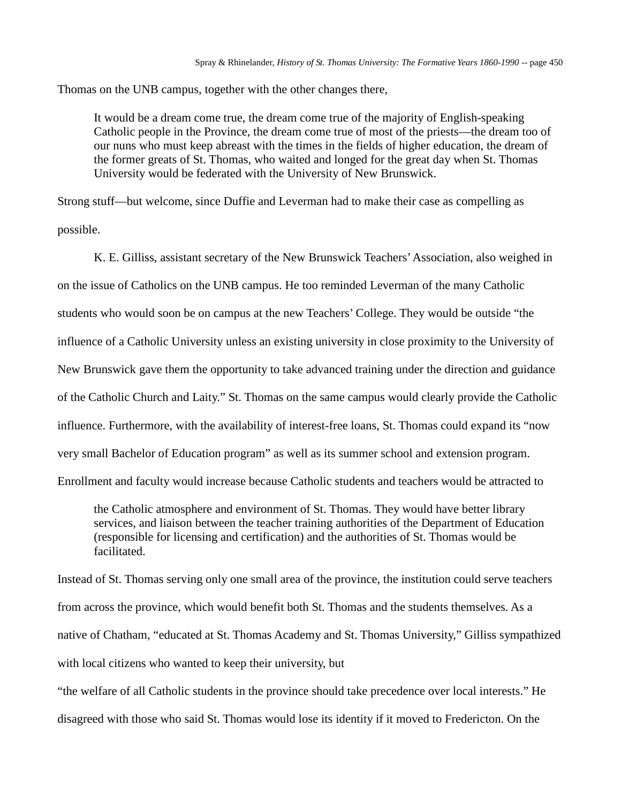Thomas on the UNB campus, together with the other changes there,

It would be a dream come true, the dream come true of the majority of English-speaking Catholic people in the Province, the dream come true of most of the priests—the dream too of our nuns who must keep abreast with the times in the fields of higher education, the dream of the former greats of St. Thomas, who waited and longed for the great day when St. Thomas University would be federated with the University of New Brunswick.

Strong stuff—but welcome, since Duffie and Leverman had to make their case as compelling as possible.

K. E. Gilliss, assistant secretary of the New Brunswick Teachers' Association, also weighed in on the issue of Catholics on the UNB campus. He too reminded Leverman of the many Catholic students who would soon be on campus at the new Teachers' College. They would be outside "the influence of a Catholic University unless an existing university in close proximity to the University of New Brunswick gave them the opportunity to take advanced training under the direction and guidance of the Catholic Church and Laity." St. Thomas on the same campus would clearly provide the Catholic influence. Furthermore, with the availability of interest-free loans, St. Thomas could expand its "now very small Bachelor of Education program" as well as its summer school and extension program. Enrollment and faculty would increase because Catholic students and teachers would be attracted to

the Catholic atmosphere and environment of St. Thomas. They would have better library services, and liaison between the teacher training authorities of the Department of Education (responsible for licensing and certification) and the authorities of St. Thomas would be facilitated.

Instead of St. Thomas serving only one small area of the province, the institution could serve teachers from across the province, which would benefit both St. Thomas and the students themselves. As a native of Chatham, "educated at St. Thomas Academy and St. Thomas University," Gilliss sympathized with local citizens who wanted to keep their university, but

"the welfare of all Catholic students in the province should take precedence over local interests." He disagreed with those who said St. Thomas would lose its identity if it moved to Fredericton. On the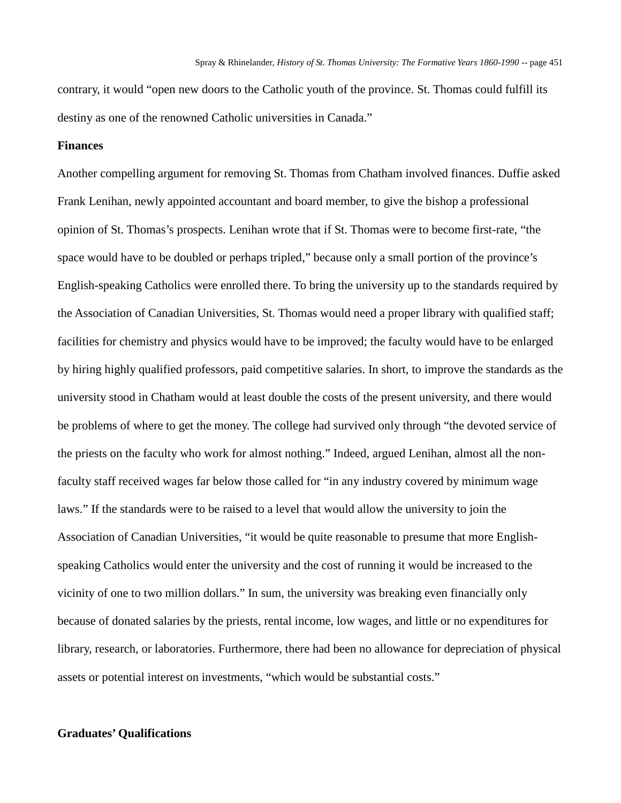contrary, it would "open new doors to the Catholic youth of the province. St. Thomas could fulfill its destiny as one of the renowned Catholic universities in Canada."

# **Finances**

Another compelling argument for removing St. Thomas from Chatham involved finances. Duffie asked Frank Lenihan, newly appointed accountant and board member, to give the bishop a professional opinion of St. Thomas's prospects. Lenihan wrote that if St. Thomas were to become first-rate, "the space would have to be doubled or perhaps tripled," because only a small portion of the province's English-speaking Catholics were enrolled there. To bring the university up to the standards required by the Association of Canadian Universities, St. Thomas would need a proper library with qualified staff; facilities for chemistry and physics would have to be improved; the faculty would have to be enlarged by hiring highly qualified professors, paid competitive salaries. In short, to improve the standards as the university stood in Chatham would at least double the costs of the present university, and there would be problems of where to get the money. The college had survived only through "the devoted service of the priests on the faculty who work for almost nothing." Indeed, argued Lenihan, almost all the nonfaculty staff received wages far below those called for "in any industry covered by minimum wage laws." If the standards were to be raised to a level that would allow the university to join the Association of Canadian Universities, "it would be quite reasonable to presume that more Englishspeaking Catholics would enter the university and the cost of running it would be increased to the vicinity of one to two million dollars." In sum, the university was breaking even financially only because of donated salaries by the priests, rental income, low wages, and little or no expenditures for library, research, or laboratories. Furthermore, there had been no allowance for depreciation of physical assets or potential interest on investments, "which would be substantial costs."

# **Graduates' Qualifications**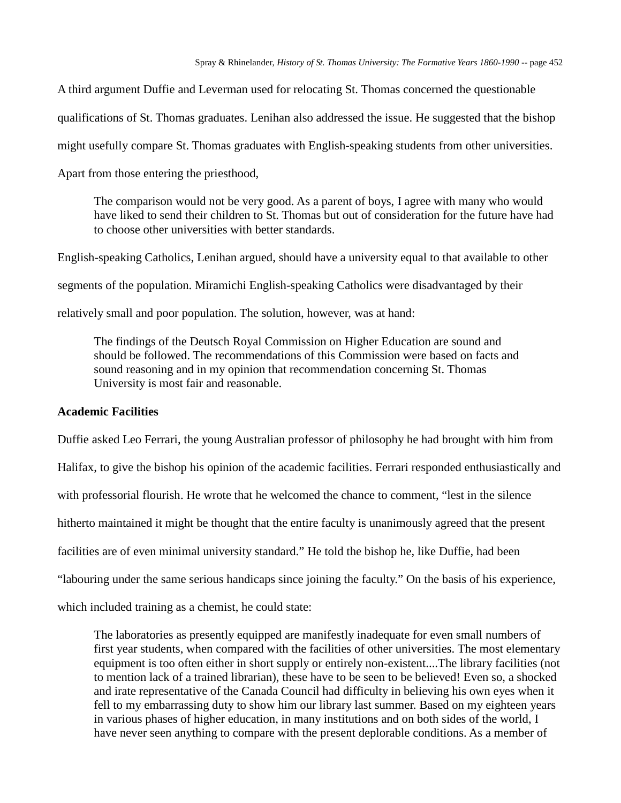A third argument Duffie and Leverman used for relocating St. Thomas concerned the questionable qualifications of St. Thomas graduates. Lenihan also addressed the issue. He suggested that the bishop might usefully compare St. Thomas graduates with English-speaking students from other universities. Apart from those entering the priesthood,

The comparison would not be very good. As a parent of boys, I agree with many who would have liked to send their children to St. Thomas but out of consideration for the future have had to choose other universities with better standards.

English-speaking Catholics, Lenihan argued, should have a university equal to that available to other segments of the population. Miramichi English-speaking Catholics were disadvantaged by their relatively small and poor population. The solution, however, was at hand:

The findings of the Deutsch Royal Commission on Higher Education are sound and should be followed. The recommendations of this Commission were based on facts and sound reasoning and in my opinion that recommendation concerning St. Thomas University is most fair and reasonable.

# **Academic Facilities**

Duffie asked Leo Ferrari, the young Australian professor of philosophy he had brought with him from Halifax, to give the bishop his opinion of the academic facilities. Ferrari responded enthusiastically and with professorial flourish. He wrote that he welcomed the chance to comment, "lest in the silence hitherto maintained it might be thought that the entire faculty is unanimously agreed that the present facilities are of even minimal university standard." He told the bishop he, like Duffie, had been "labouring under the same serious handicaps since joining the faculty." On the basis of his experience,

which included training as a chemist, he could state:

The laboratories as presently equipped are manifestly inadequate for even small numbers of first year students, when compared with the facilities of other universities. The most elementary equipment is too often either in short supply or entirely non-existent....The library facilities (not to mention lack of a trained librarian), these have to be seen to be believed! Even so, a shocked and irate representative of the Canada Council had difficulty in believing his own eyes when it fell to my embarrassing duty to show him our library last summer. Based on my eighteen years in various phases of higher education, in many institutions and on both sides of the world, I have never seen anything to compare with the present deplorable conditions. As a member of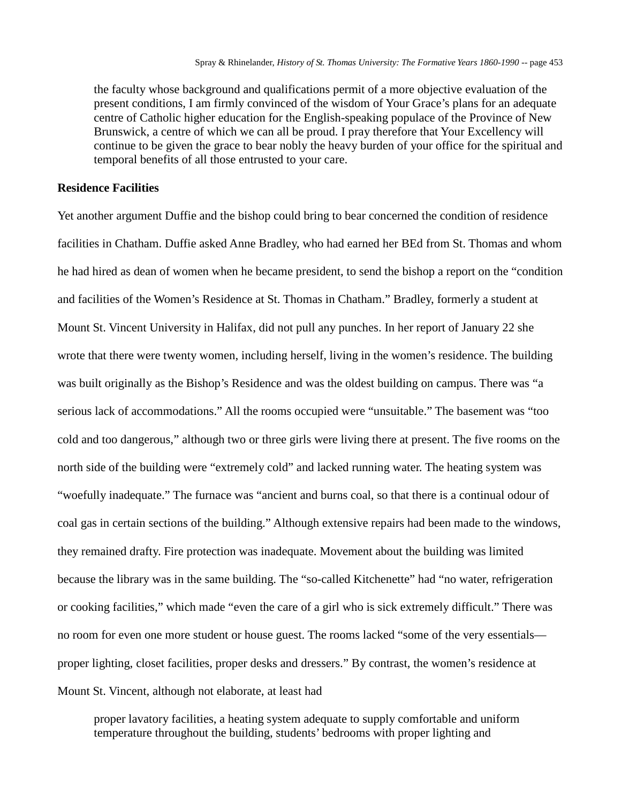the faculty whose background and qualifications permit of a more objective evaluation of the present conditions, I am firmly convinced of the wisdom of Your Grace's plans for an adequate centre of Catholic higher education for the English-speaking populace of the Province of New Brunswick, a centre of which we can all be proud. I pray therefore that Your Excellency will continue to be given the grace to bear nobly the heavy burden of your office for the spiritual and temporal benefits of all those entrusted to your care.

#### **Residence Facilities**

Yet another argument Duffie and the bishop could bring to bear concerned the condition of residence facilities in Chatham. Duffie asked Anne Bradley, who had earned her BEd from St. Thomas and whom he had hired as dean of women when he became president, to send the bishop a report on the "condition and facilities of the Women's Residence at St. Thomas in Chatham." Bradley, formerly a student at Mount St. Vincent University in Halifax, did not pull any punches. In her report of January 22 she wrote that there were twenty women, including herself, living in the women's residence. The building was built originally as the Bishop's Residence and was the oldest building on campus. There was "a serious lack of accommodations." All the rooms occupied were "unsuitable." The basement was "too cold and too dangerous," although two or three girls were living there at present. The five rooms on the north side of the building were "extremely cold" and lacked running water. The heating system was "woefully inadequate." The furnace was "ancient and burns coal, so that there is a continual odour of coal gas in certain sections of the building." Although extensive repairs had been made to the windows, they remained drafty. Fire protection was inadequate. Movement about the building was limited because the library was in the same building. The "so-called Kitchenette" had "no water, refrigeration or cooking facilities," which made "even the care of a girl who is sick extremely difficult." There was no room for even one more student or house guest. The rooms lacked "some of the very essentials proper lighting, closet facilities, proper desks and dressers." By contrast, the women's residence at Mount St. Vincent, although not elaborate, at least had

proper lavatory facilities, a heating system adequate to supply comfortable and uniform temperature throughout the building, students' bedrooms with proper lighting and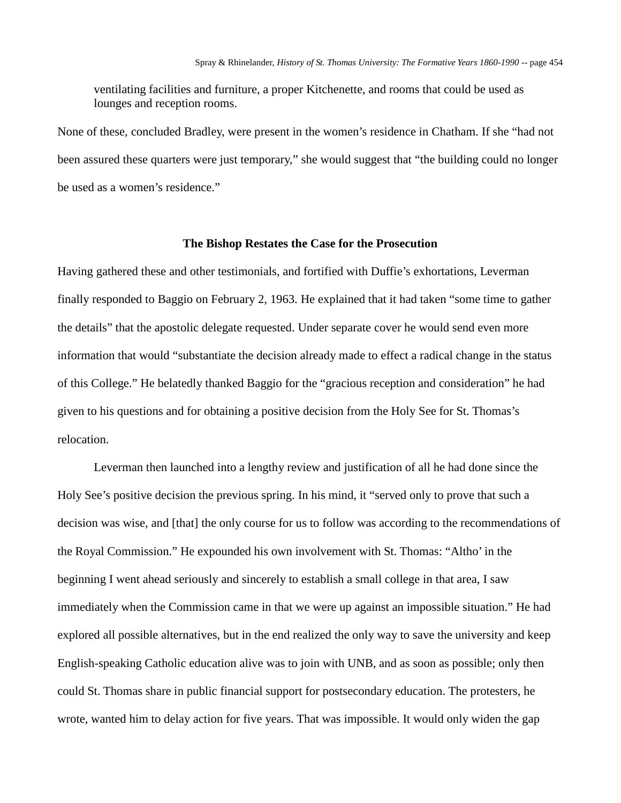ventilating facilities and furniture, a proper Kitchenette, and rooms that could be used as lounges and reception rooms.

None of these, concluded Bradley, were present in the women's residence in Chatham. If she "had not been assured these quarters were just temporary," she would suggest that "the building could no longer be used as a women's residence."

#### **The Bishop Restates the Case for the Prosecution**

Having gathered these and other testimonials, and fortified with Duffie's exhortations, Leverman finally responded to Baggio on February 2, 1963. He explained that it had taken "some time to gather the details" that the apostolic delegate requested. Under separate cover he would send even more information that would "substantiate the decision already made to effect a radical change in the status of this College." He belatedly thanked Baggio for the "gracious reception and consideration" he had given to his questions and for obtaining a positive decision from the Holy See for St. Thomas's relocation.

Leverman then launched into a lengthy review and justification of all he had done since the Holy See's positive decision the previous spring. In his mind, it "served only to prove that such a decision was wise, and [that] the only course for us to follow was according to the recommendations of the Royal Commission." He expounded his own involvement with St. Thomas: "Altho' in the beginning I went ahead seriously and sincerely to establish a small college in that area, I saw immediately when the Commission came in that we were up against an impossible situation." He had explored all possible alternatives, but in the end realized the only way to save the university and keep English-speaking Catholic education alive was to join with UNB, and as soon as possible; only then could St. Thomas share in public financial support for postsecondary education. The protesters, he wrote, wanted him to delay action for five years. That was impossible. It would only widen the gap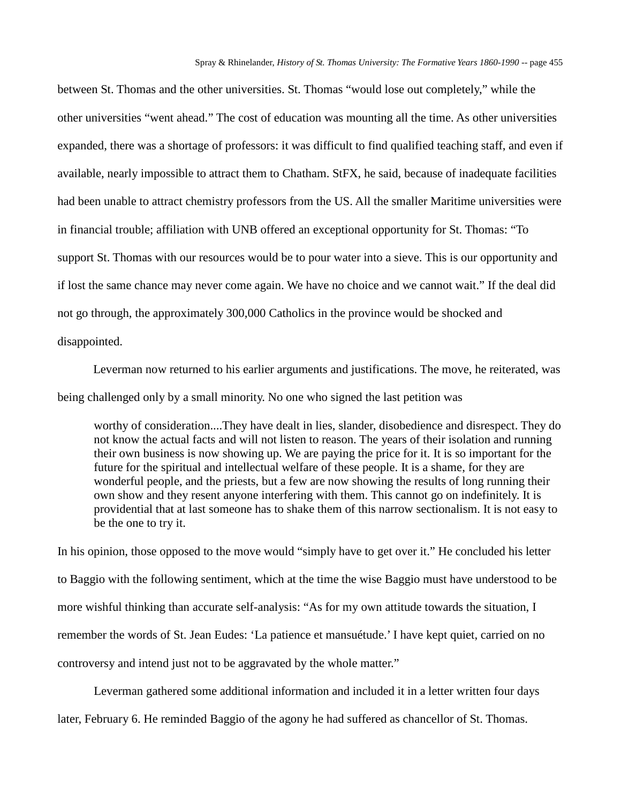between St. Thomas and the other universities. St. Thomas "would lose out completely," while the other universities "went ahead." The cost of education was mounting all the time. As other universities expanded, there was a shortage of professors: it was difficult to find qualified teaching staff, and even if available, nearly impossible to attract them to Chatham. StFX, he said, because of inadequate facilities had been unable to attract chemistry professors from the US. All the smaller Maritime universities were in financial trouble; affiliation with UNB offered an exceptional opportunity for St. Thomas: "To support St. Thomas with our resources would be to pour water into a sieve. This is our opportunity and if lost the same chance may never come again. We have no choice and we cannot wait." If the deal did not go through, the approximately 300,000 Catholics in the province would be shocked and disappointed.

Leverman now returned to his earlier arguments and justifications. The move, he reiterated, was being challenged only by a small minority. No one who signed the last petition was

worthy of consideration....They have dealt in lies, slander, disobedience and disrespect. They do not know the actual facts and will not listen to reason. The years of their isolation and running their own business is now showing up. We are paying the price for it. It is so important for the future for the spiritual and intellectual welfare of these people. It is a shame, for they are wonderful people, and the priests, but a few are now showing the results of long running their own show and they resent anyone interfering with them. This cannot go on indefinitely. It is providential that at last someone has to shake them of this narrow sectionalism. It is not easy to be the one to try it.

In his opinion, those opposed to the move would "simply have to get over it." He concluded his letter to Baggio with the following sentiment, which at the time the wise Baggio must have understood to be more wishful thinking than accurate self-analysis: "As for my own attitude towards the situation, I remember the words of St. Jean Eudes: 'La patience et mansuétude.' I have kept quiet, carried on no controversy and intend just not to be aggravated by the whole matter."

Leverman gathered some additional information and included it in a letter written four days later, February 6. He reminded Baggio of the agony he had suffered as chancellor of St. Thomas.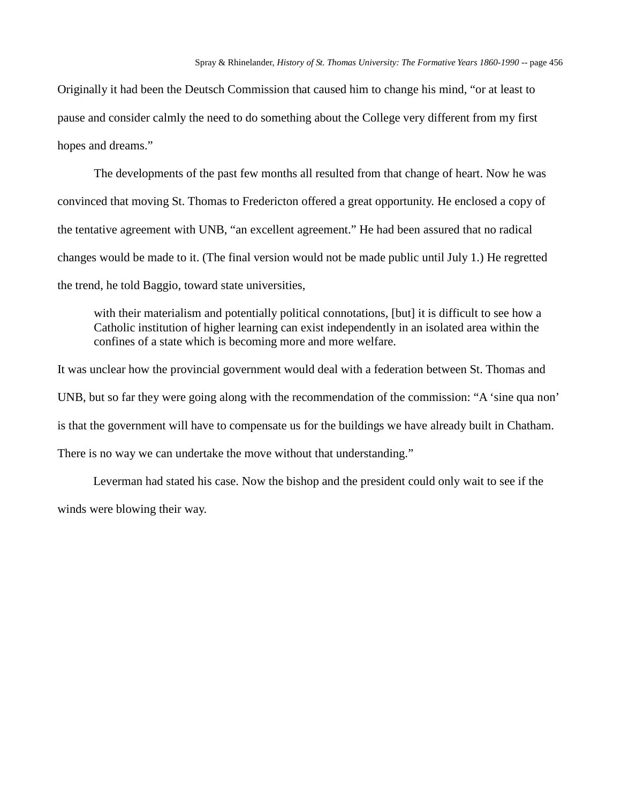Originally it had been the Deutsch Commission that caused him to change his mind, "or at least to pause and consider calmly the need to do something about the College very different from my first hopes and dreams."

The developments of the past few months all resulted from that change of heart. Now he was convinced that moving St. Thomas to Fredericton offered a great opportunity. He enclosed a copy of the tentative agreement with UNB, "an excellent agreement." He had been assured that no radical changes would be made to it. (The final version would not be made public until July 1.) He regretted the trend, he told Baggio, toward state universities,

with their materialism and potentially political connotations, [but] it is difficult to see how a Catholic institution of higher learning can exist independently in an isolated area within the confines of a state which is becoming more and more welfare.

It was unclear how the provincial government would deal with a federation between St. Thomas and UNB, but so far they were going along with the recommendation of the commission: "A 'sine qua non' is that the government will have to compensate us for the buildings we have already built in Chatham. There is no way we can undertake the move without that understanding."

Leverman had stated his case. Now the bishop and the president could only wait to see if the winds were blowing their way.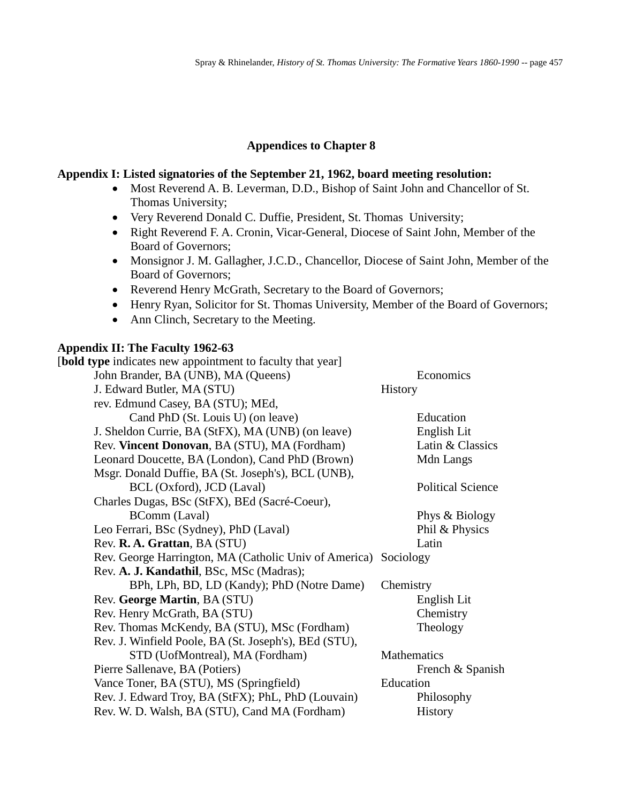# **Appendices to Chapter 8**

# **Appendix I: Listed signatories of the September 21, 1962, board meeting resolution:**

- Most Reverend A. B. Leverman, D.D., Bishop of Saint John and Chancellor of St. Thomas University;
- Very Reverend Donald C. Duffie, President, St. Thomas University;
- Right Reverend F. A. Cronin, Vicar-General, Diocese of Saint John, Member of the Board of Governors;
- Monsignor J. M. Gallagher, J.C.D., Chancellor, Diocese of Saint John, Member of the Board of Governors;
- Reverend Henry McGrath, Secretary to the Board of Governors;
- Henry Ryan, Solicitor for St. Thomas University, Member of the Board of Governors;
- Ann Clinch, Secretary to the Meeting.

# **Appendix II: The Faculty 1962-63**

[**bold type** indicates new appointment to faculty that year] John Brander, BA (UNB), MA (Queens) Economics J. Edward Butler, MA (STU) History rev. Edmund Casey, BA (STU); MEd, Cand PhD (St. Louis U) (on leave) Education J. Sheldon Currie, BA (StFX), MA (UNB) (on leave) English Lit Rev. **Vincent Donovan**, BA (STU), MA (Fordham) Latin & Classics Leonard Doucette, BA (London), Cand PhD (Brown) Mdn Langs Msgr. Donald Duffie, BA (St. Joseph's), BCL (UNB), BCL (Oxford), JCD (Laval) Political Science Charles Dugas, BSc (StFX), BEd (Sacré-Coeur), BComm (Laval) Phys & Biology Leo Ferrari, BSc (Sydney), PhD (Laval) Phil & Physics Rev. **R. A. Grattan**, BA (STU) Latin Rev. George Harrington, MA (Catholic Univ of America) Sociology Rev. **A. J. Kandathil**, BSc, MSc (Madras); BPh, LPh, BD, LD (Kandy); PhD (Notre Dame) Chemistry Rev. **George Martin**, BA (STU) English Lit Rev. Henry McGrath, BA (STU) Chemistry Rev. Thomas McKendy, BA (STU), MSc (Fordham) Theology Rev. J. Winfield Poole, BA (St. Joseph's), BEd (STU), STD (UofMontreal), MA (Fordham) Mathematics Pierre Sallenave, BA (Potiers) French & Spanish Vance Toner, BA (STU), MS (Springfield) Education Rev. J. Edward Troy, BA (StFX); PhL, PhD (Louvain) Philosophy Rev. W. D. Walsh, BA (STU), Cand MA (Fordham) History